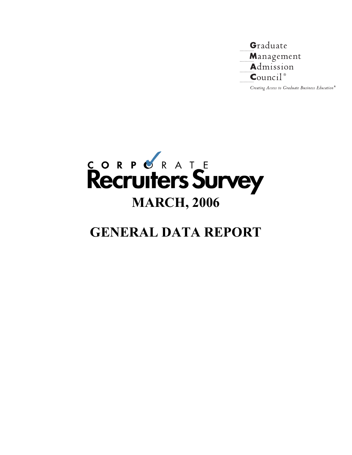

Creating Access to Graduate Business Education<sup>®</sup>



# **GENERAL DATA REPORT**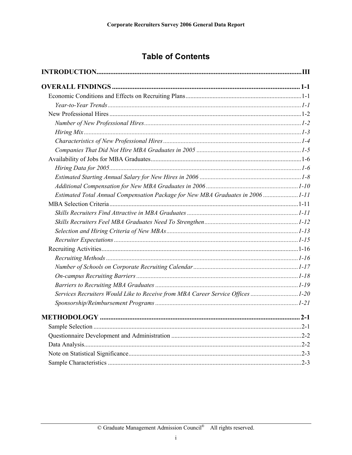# **Table of Contents**

| Estimated Total Annual Compensation Package for New MBA Graduates in 2006 1-11 |  |
|--------------------------------------------------------------------------------|--|
|                                                                                |  |
|                                                                                |  |
|                                                                                |  |
|                                                                                |  |
|                                                                                |  |
|                                                                                |  |
|                                                                                |  |
|                                                                                |  |
|                                                                                |  |
|                                                                                |  |
| Services Recruiters Would Like to Receive from MBA Career Service Offices 1-20 |  |
|                                                                                |  |
|                                                                                |  |
|                                                                                |  |
|                                                                                |  |
|                                                                                |  |
|                                                                                |  |
|                                                                                |  |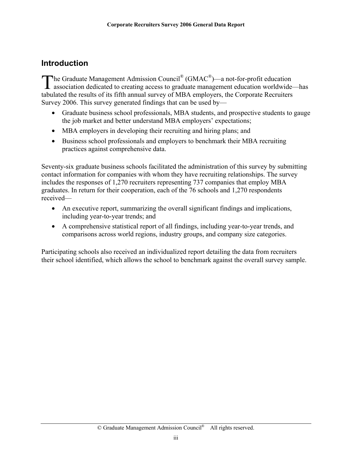# <span id="page-2-0"></span>**Introduction**

The Graduate Management Admission Council<sup>®</sup> (GMAC<sup>®</sup>)—a not-for-profit education The Graduate Management Admission Council® (GMAC®)—a not-for-profit education<br>association dedicated to creating access to graduate management education worldwide—has tabulated the results of its fifth annual survey of MBA employers, the Corporate Recruiters Survey 2006. This survey generated findings that can be used by—

- Graduate business school professionals, MBA students, and prospective students to gauge the job market and better understand MBA employers' expectations;
- MBA employers in developing their recruiting and hiring plans; and
- Business school professionals and employers to benchmark their MBA recruiting practices against comprehensive data.

Seventy-six graduate business schools facilitated the administration of this survey by submitting contact information for companies with whom they have recruiting relationships. The survey includes the responses of 1,270 recruiters representing 737 companies that employ MBA graduates. In return for their cooperation, each of the 76 schools and 1,270 respondents received—

- An executive report, summarizing the overall significant findings and implications, including year-to-year trends; and
- A comprehensive statistical report of all findings, including year-to-year trends, and comparisons across world regions, industry groups, and company size categories.

Participating schools also received an individualized report detailing the data from recruiters their school identified, which allows the school to benchmark against the overall survey sample.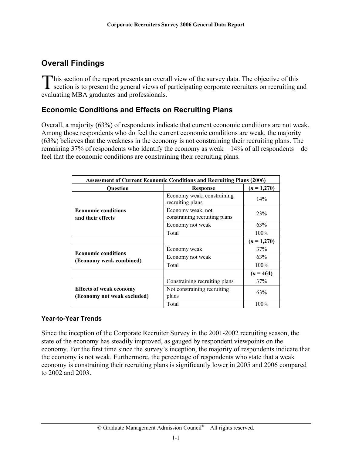# <span id="page-3-0"></span>**Overall Findings**

**This section of the report presents an overall view of the survey data. The objective of this** This section of the report presents an overall view of the survey data. The objective of this section is to present the general views of participating corporate recruiters on recruiting and evaluating MBA graduates and professionals.

### **Economic Conditions and Effects on Recruiting Plans**

Overall, a majority (63%) of respondents indicate that current economic conditions are not weak. Among those respondents who do feel the current economic conditions are weak, the majority (63%) believes that the weakness in the economy is not constraining their recruiting plans. The remaining 37% of respondents who identify the economy as weak—14% of all respondents—do feel that the economic conditions are constraining their recruiting plans.

| <b>Assessment of Current Economic Conditions and Recruiting Plans (2006)</b> |                                                    |               |  |  |
|------------------------------------------------------------------------------|----------------------------------------------------|---------------|--|--|
| <b>Ouestion</b>                                                              | <b>Response</b>                                    | $(n = 1,270)$ |  |  |
|                                                                              | Economy weak, constraining<br>recruiting plans     | 14%           |  |  |
| <b>Economic conditions</b><br>and their effects                              | Economy weak, not<br>constraining recruiting plans | 23%           |  |  |
|                                                                              | Economy not weak                                   | 63%           |  |  |
|                                                                              | Total                                              | $100\%$       |  |  |
|                                                                              |                                                    | $(n = 1,270)$ |  |  |
|                                                                              | Economy weak                                       | 37%           |  |  |
| <b>Economic conditions</b>                                                   | Economy not weak                                   | 63%           |  |  |
| (Economy weak combined)                                                      | Total                                              | $100\%$       |  |  |
|                                                                              |                                                    | $(n = 464)$   |  |  |
|                                                                              | Constraining recruiting plans                      | 37%           |  |  |
| <b>Effects of weak economy</b><br>(Economy not weak excluded)                | Not constraining recruiting<br>plans               | 63%           |  |  |
|                                                                              | Total                                              | 100%          |  |  |

#### **Year-to-Year Trends**

Since the inception of the Corporate Recruiter Survey in the 2001-2002 recruiting season, the state of the economy has steadily improved, as gauged by respondent viewpoints on the economy. For the first time since the survey's inception, the majority of respondents indicate that the economy is not weak. Furthermore, the percentage of respondents who state that a weak economy is constraining their recruiting plans is significantly lower in 2005 and 2006 compared to 2002 and 2003.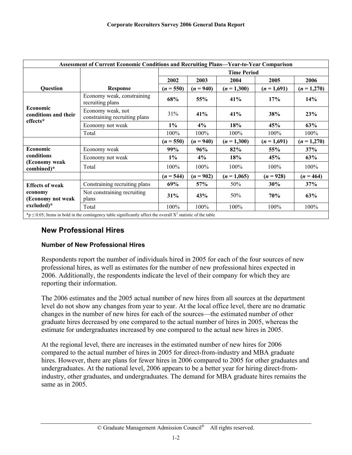<span id="page-4-0"></span>

|                                                                                                                      | <b>Assessment of Current Economic Conditions and Recruiting Plans-Year-to-Year Comparison</b> |             |                    |               |             |               |  |
|----------------------------------------------------------------------------------------------------------------------|-----------------------------------------------------------------------------------------------|-------------|--------------------|---------------|-------------|---------------|--|
|                                                                                                                      |                                                                                               |             | <b>Time Period</b> |               |             |               |  |
|                                                                                                                      |                                                                                               | 2002        | 2003               | 2004          | 2005        | 2006          |  |
| Question                                                                                                             | <b>Response</b>                                                                               | $(n = 550)$ | $(n = 940)$        | $(n = 1,300)$ | $(n=1,691)$ | $(n = 1,270)$ |  |
|                                                                                                                      | Economy weak, constraining<br>recruiting plans                                                | 68%         | 55%                | 41%           | 17%         | 14%           |  |
| Economic<br>conditions and their                                                                                     | Economy weak, not<br>constraining recruiting plans                                            | 31%         | 41%                | 41%           | 38%         | 23%           |  |
| effects*                                                                                                             | Economy not weak                                                                              | $1\%$       | 4%                 | 18%           | 45%         | 63%           |  |
|                                                                                                                      | Total                                                                                         | 100%        | $100\%$            | $100\%$       | $100\%$     | $100\%$       |  |
|                                                                                                                      |                                                                                               | $(n = 550)$ | $(n = 940)$        | $(n=1,300)$   | $(n=1,691)$ | $(n = 1,270)$ |  |
| <b>Economic</b>                                                                                                      | Economy weak                                                                                  | 99%         | 96%                | 82%           | 55%         | 37%           |  |
| conditions                                                                                                           | Economy not weak                                                                              | $1\%$       | 4%                 | 18%           | 45%         | 63%           |  |
| (Economy weak<br>combined)*                                                                                          | Total                                                                                         | $100\%$     | $100\%$            | $100\%$       | $100\%$     | $100\%$       |  |
|                                                                                                                      |                                                                                               | $(n = 544)$ | $(n = 902)$        | $(n = 1,065)$ | $(n = 928)$ | $(n = 464)$   |  |
| <b>Effects of weak</b>                                                                                               | Constraining recruiting plans                                                                 | 69%         | 57%                | 50%           | 30%         | 37%           |  |
| economy<br>(Economy not weak                                                                                         | Not constraining recruiting<br>plans                                                          | 31%         | 43%                | 50%           | 70%         | 63%           |  |
| excluded)*                                                                                                           | Total                                                                                         | 100%        | 100%               | 100%          | 100%        | 100%          |  |
| *p $\leq$ 0.05; Items in bold in the contingency table significantly affect the overall $X^2$ statistic of the table |                                                                                               |             |                    |               |             |               |  |

### **New Professional Hires**

#### **Number of New Professional Hires**

Respondents report the number of individuals hired in 2005 for each of the four sources of new professional hires, as well as estimates for the number of new professional hires expected in 2006. Additionally, the respondents indicate the level of their company for which they are reporting their information.

The 2006 estimates and the 2005 actual number of new hires from all sources at the department level do not show any changes from year to year. At the local office level, there are no dramatic changes in the number of new hires for each of the sources—the estimated number of other graduate hires decreased by one compared to the actual number of hires in 2005, whereas the estimate for undergraduates increased by one compared to the actual new hires in 2005.

At the regional level, there are increases in the estimated number of new hires for 2006 compared to the actual number of hires in 2005 for direct-from-industry and MBA graduate hires. However, there are plans for fewer hires in 2006 compared to 2005 for other graduates and undergraduates. At the national level, 2006 appears to be a better year for hiring direct-fromindustry, other graduates, and undergraduates. The demand for MBA graduate hires remains the same as in 2005.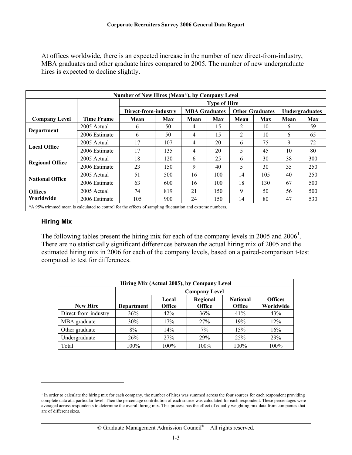<span id="page-5-0"></span>At offices worldwide, there is an expected increase in the number of new direct-from-industry, MBA graduates and other graduate hires compared to 2005. The number of new undergraduate hires is expected to decline slightly.

| Number of New Hires (Mean*), by Company Level                                                             |               |                      |     |                      |     |      |                        |                |            |
|-----------------------------------------------------------------------------------------------------------|---------------|----------------------|-----|----------------------|-----|------|------------------------|----------------|------------|
|                                                                                                           |               | <b>Type of Hire</b>  |     |                      |     |      |                        |                |            |
|                                                                                                           |               | Direct-from-industry |     | <b>MBA Graduates</b> |     |      | <b>Other Graduates</b> | Undergraduates |            |
| <b>Company Level</b>                                                                                      | Time Frame    | Mean                 | Max | Mean                 | Max | Mean | Max                    | Mean           | <b>Max</b> |
| Department                                                                                                | 2005 Actual   | 6                    | 50  | 4                    | 15  | 2    | 10                     | 6              | 59         |
|                                                                                                           | 2006 Estimate | 6                    | 50  | 4                    | 15  | 2    | 10                     | 6              | 65         |
| <b>Local Office</b>                                                                                       | 2005 Actual   | 17                   | 107 | 4                    | 20  | 6    | 75                     | 9              | 72         |
|                                                                                                           | 2006 Estimate | 17                   | 135 | 4                    | 20  | 5    | 45                     | 10             | 80         |
| <b>Regional Office</b>                                                                                    | 2005 Actual   | 18                   | 120 | 6                    | 25  | 6    | 30                     | 38             | 300        |
|                                                                                                           | 2006 Estimate | 23                   | 150 | 9                    | 40  | 5    | 30                     | 35             | 250        |
| <b>National Office</b>                                                                                    | 2005 Actual   | 51                   | 500 | 16                   | 100 | 14   | 105                    | 40             | 250        |
|                                                                                                           | 2006 Estimate | 63                   | 600 | 16                   | 100 | 18   | 130                    | 67             | 500        |
| <b>Offices</b>                                                                                            | 2005 Actual   | 74                   | 819 | 21                   | 150 | 9    | 50                     | 56             | 500        |
| Worldwide                                                                                                 | 2006 Estimate | 105                  | 900 | 24                   | 150 | 14   | 80                     | 47             | 530        |
| *A 95% trimmed mean is calculated to control for the effects of sampling fluctuation and extreme numbers. |               |                      |     |                      |     |      |                        |                |            |

#### **Hiring Mix**

 $\overline{a}$ 

The following tables present the hiring mix for each of the company levels in 2005 and 2006<sup>1</sup>. There are no statistically significant differences between the actual hiring mix of 2005 and the estimated hiring mix in 2006 for each of the company levels, based on a paired-comparison t-test computed to test for differences.

| Hiring Mix (Actual 2005), by Company Level |                   |                                                                                                                        |      |      |      |  |  |  |  |
|--------------------------------------------|-------------------|------------------------------------------------------------------------------------------------------------------------|------|------|------|--|--|--|--|
|                                            |                   | <b>Company Level</b>                                                                                                   |      |      |      |  |  |  |  |
| <b>New Hire</b>                            | <b>Department</b> | <b>Offices</b><br>Regional<br><b>National</b><br>Local<br>Worldwide<br><b>Office</b><br><b>Office</b><br><b>Office</b> |      |      |      |  |  |  |  |
| Direct-from-industry                       | 36%               | 42%                                                                                                                    | 36%  | 41%  | 43%  |  |  |  |  |
| MBA graduate                               | 30%               | 17%                                                                                                                    | 27%  | 19%  | 12%  |  |  |  |  |
| Other graduate                             | 8%                | 14%                                                                                                                    | 7%   | 15%  | 16%  |  |  |  |  |
| Undergraduate                              | 26%               | 27%                                                                                                                    | 29%  | 25%  | 29%  |  |  |  |  |
| Total                                      | $100\%$           | 100%                                                                                                                   | 100% | 100% | 100% |  |  |  |  |

<sup>&</sup>lt;sup>1</sup> In order to calculate the hiring mix for each company, the number of hires was summed across the four sources for each respondent providing complete data at a particular level. Then the percentage contribution of each source was calculated for each respondent. These percentages were averaged across respondents to determine the overall hiring mix. This process has the effect of equally weighting mix data from companies that are of different sizes.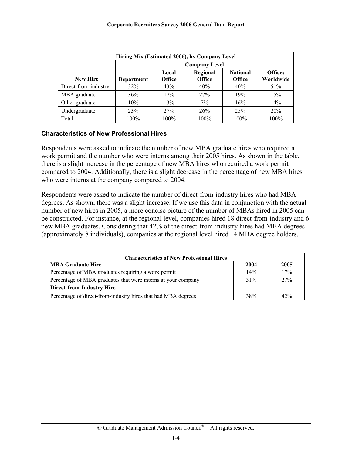<span id="page-6-0"></span>

| Hiring Mix (Estimated 2006), by Company Level |                   |                                                                                                                        |      |         |      |  |  |  |  |
|-----------------------------------------------|-------------------|------------------------------------------------------------------------------------------------------------------------|------|---------|------|--|--|--|--|
|                                               |                   | <b>Company Level</b>                                                                                                   |      |         |      |  |  |  |  |
| <b>New Hire</b>                               | <b>Department</b> | <b>Offices</b><br>Regional<br><b>National</b><br>Local<br>Worldwide<br><b>Office</b><br><b>Office</b><br><b>Office</b> |      |         |      |  |  |  |  |
| Direct-from-industry                          | 32%               | 43%                                                                                                                    | 40%  | 40%     | 51%  |  |  |  |  |
| MBA graduate                                  | 36%               | 17%                                                                                                                    | 27%  | 19%     | 15%  |  |  |  |  |
| Other graduate                                | 10%               | 13%                                                                                                                    | 7%   | 16%     | 14%  |  |  |  |  |
| Undergraduate                                 | 23%               | 27%                                                                                                                    | 26%  | 25%     | 20%  |  |  |  |  |
| Total                                         | 100%              | $100\%$                                                                                                                | 100% | $100\%$ | 100% |  |  |  |  |

#### **Characteristics of New Professional Hires**

Respondents were asked to indicate the number of new MBA graduate hires who required a work permit and the number who were interns among their 2005 hires. As shown in the table, there is a slight increase in the percentage of new MBA hires who required a work permit compared to 2004. Additionally, there is a slight decrease in the percentage of new MBA hires who were interns at the company compared to 2004.

Respondents were asked to indicate the number of direct-from-industry hires who had MBA degrees. As shown, there was a slight increase. If we use this data in conjunction with the actual number of new hires in 2005, a more concise picture of the number of MBAs hired in 2005 can be constructed. For instance, at the regional level, companies hired 18 direct-from-industry and 6 new MBA graduates. Considering that 42% of the direct-from-industry hires had MBA degrees (approximately 8 individuals), companies at the regional level hired 14 MBA degree holders.

| <b>Characteristics of New Professional Hires</b>              |        |      |  |  |  |  |
|---------------------------------------------------------------|--------|------|--|--|--|--|
| <b>MBA Graduate Hire</b>                                      | 2004   | 2005 |  |  |  |  |
| Percentage of MBA graduates requiring a work permit           | 14%    | 17%  |  |  |  |  |
| Percentage of MBA graduates that were interns at your company | $31\%$ | 27%  |  |  |  |  |
| <b>Direct-from-Industry Hire</b>                              |        |      |  |  |  |  |
| Percentage of direct-from-industry hires that had MBA degrees | 38%    | 42%  |  |  |  |  |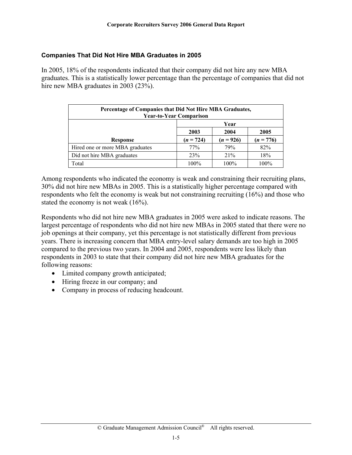#### <span id="page-7-0"></span>**Companies That Did Not Hire MBA Graduates in 2005**

In 2005, 18% of the respondents indicated that their company did not hire any new MBA graduates. This is a statistically lower percentage than the percentage of companies that did not hire new MBA graduates in 2003 (23%).

| Percentage of Companies that Did Not Hire MBA Graduates,<br><b>Year-to-Year Comparison</b> |                                           |      |      |  |  |  |
|--------------------------------------------------------------------------------------------|-------------------------------------------|------|------|--|--|--|
|                                                                                            | Year                                      |      |      |  |  |  |
|                                                                                            | 2004<br>2003<br>2005                      |      |      |  |  |  |
| <b>Response</b>                                                                            | $(n = 926)$<br>$(n = 776)$<br>$(n = 724)$ |      |      |  |  |  |
| Hired one or more MBA graduates                                                            | 77%                                       | 79%  | 82%  |  |  |  |
| Did not hire MBA graduates                                                                 | 23%                                       | 21%  | 18%  |  |  |  |
| Total                                                                                      | 100%                                      | 100% | 100% |  |  |  |

Among respondents who indicated the economy is weak and constraining their recruiting plans, 30% did not hire new MBAs in 2005. This is a statistically higher percentage compared with respondents who felt the economy is weak but not constraining recruiting (16%) and those who stated the economy is not weak (16%).

Respondents who did not hire new MBA graduates in 2005 were asked to indicate reasons. The largest percentage of respondents who did not hire new MBAs in 2005 stated that there were no job openings at their company, yet this percentage is not statistically different from previous years. There is increasing concern that MBA entry-level salary demands are too high in 2005 compared to the previous two years. In 2004 and 2005, respondents were less likely than respondents in 2003 to state that their company did not hire new MBA graduates for the following reasons:

- Limited company growth anticipated;
- Hiring freeze in our company; and
- Company in process of reducing headcount.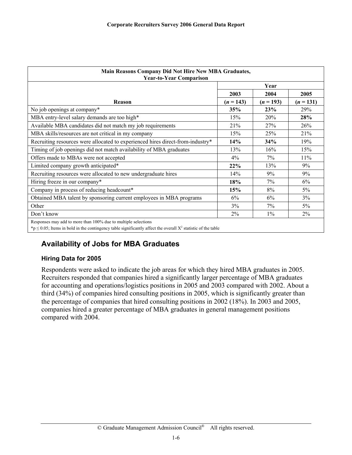<span id="page-8-0"></span>

| Main Reasons Company Did Not Hire New MBA Graduates,<br><b>Year-to-Year Comparison</b>                                                                                                          |             |             |             |  |  |
|-------------------------------------------------------------------------------------------------------------------------------------------------------------------------------------------------|-------------|-------------|-------------|--|--|
|                                                                                                                                                                                                 | Year        |             |             |  |  |
|                                                                                                                                                                                                 | 2003        | 2004        | 2005        |  |  |
| Reason                                                                                                                                                                                          | $(n = 143)$ | $(n = 193)$ | $(n = 131)$ |  |  |
| No job openings at company*                                                                                                                                                                     | 35%         | 23%         | 29%         |  |  |
| MBA entry-level salary demands are too high*                                                                                                                                                    | 15%         | 20%         | 28%         |  |  |
| Available MBA candidates did not match my job requirements                                                                                                                                      | 21%         | 27%         | 26%         |  |  |
| MBA skills/resources are not critical in my company                                                                                                                                             | 15%         | 25%         | 21%         |  |  |
| Recruiting resources were allocated to experienced hires direct-from-industry*                                                                                                                  | 14%         | 34%         | 19%         |  |  |
| Timing of job openings did not match availability of MBA graduates                                                                                                                              | 13%         | 16%         | 15%         |  |  |
| Offers made to MBAs were not accepted                                                                                                                                                           | 4%          | $7\%$       | 11%         |  |  |
| Limited company growth anticipated*                                                                                                                                                             | 22%         | 13%         | 9%          |  |  |
| Recruiting resources were allocated to new undergraduate hires                                                                                                                                  | 14%         | 9%          | 9%          |  |  |
| Hiring freeze in our company*                                                                                                                                                                   | 18%         | 7%          | 6%          |  |  |
| Company in process of reducing headcount*                                                                                                                                                       | 15%         | 8%          | $5\%$       |  |  |
| Obtained MBA talent by sponsoring current employees in MBA programs                                                                                                                             | 6%          | 6%          | 3%          |  |  |
| Other                                                                                                                                                                                           | 3%          | $7\%$       | $5\%$       |  |  |
| Don't know                                                                                                                                                                                      | 2%          | $1\%$       | 2%          |  |  |
| Responses may add to more than 100% due to multiple selections<br>*p $\leq$ 0.05; Items in bold in the contingency table significantly affect the overall X <sup>2</sup> statistic of the table |             |             |             |  |  |

# **Availability of Jobs for MBA Graduates**

#### **Hiring Data for 2005**

Respondents were asked to indicate the job areas for which they hired MBA graduates in 2005. Recruiters responded that companies hired a significantly larger percentage of MBA graduates for accounting and operations/logistics positions in 2005 and 2003 compared with 2002. About a third (34%) of companies hired consulting positions in 2005, which is significantly greater than the percentage of companies that hired consulting positions in 2002 (18%). In 2003 and 2005, companies hired a greater percentage of MBA graduates in general management positions compared with 2004.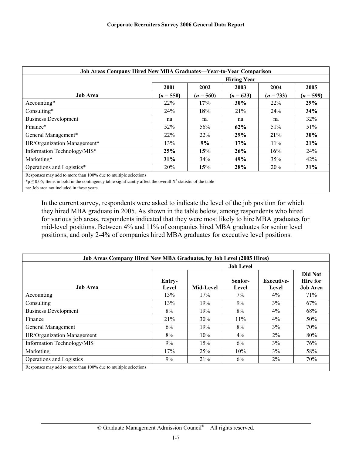| Job Areas Company Hired New MBA Graduates-Year-to-Year Comparison |                                      |             |             |             |             |
|-------------------------------------------------------------------|--------------------------------------|-------------|-------------|-------------|-------------|
|                                                                   | <b>Hiring Year</b>                   |             |             |             |             |
|                                                                   | 2001<br>2002<br>2004<br>2005<br>2003 |             |             |             |             |
| <b>Job Area</b>                                                   | $(n = 550)$                          | $(n = 560)$ | $(n = 623)$ | $(n = 733)$ | $(n = 599)$ |
| Accounting*                                                       | 22%                                  | 17%         | 30%         | 22%         | 29%         |
| Consulting*                                                       | 24%                                  | 18%         | 21%         | 24%         | 34%         |
| <b>Business Development</b>                                       | na                                   | na          | na          | na          | 32%         |
| Finance*                                                          | 52%                                  | 56%         | 62%         | 51%         | 51%         |
| General Management*                                               | 22%                                  | 22%         | 29%         | 21%         | 30%         |
| HR/Organization Management*                                       | 13%                                  | 9%          | 17%         | 11%         | 21%         |
| Information Technology/MIS*                                       | 25%                                  | 15%         | 26%         | 16%         | 24%         |
| Marketing*                                                        | 31%                                  | 34%         | 49%         | 35%         | 42%         |
| Operations and Logistics*                                         | 20%                                  | 15%         | 28%         | 20%         | 31%         |
| Responses may add to more than 100% due to multiple selections    |                                      |             |             |             |             |

\*p  $\leq$  0.05; Items in bold in the contingency table significantly affect the overall  $X^2$  statistic of the table

na: Job area not included in these years.

In the current survey, respondents were asked to indicate the level of the job position for which they hired MBA graduate in 2005. As shown in the table below, among respondents who hired for various job areas, respondents indicated that they were most likely to hire MBA graduates for mid-level positions. Between 4% and 11% of companies hired MBA graduates for senior level positions, and only 2-4% of companies hired MBA graduates for executive level positions.

| <b>Job Areas Company Hired New MBA Graduates, by Job Level (2005 Hires)</b> |                  |           |                  |                            |                                               |
|-----------------------------------------------------------------------------|------------------|-----------|------------------|----------------------------|-----------------------------------------------|
|                                                                             | <b>Job Level</b> |           |                  |                            |                                               |
| <b>Job Area</b>                                                             | Entry-<br>Level  | Mid-Level | Senior-<br>Level | <b>Executive-</b><br>Level | Did Not<br><b>Hire</b> for<br><b>Job Area</b> |
| Accounting                                                                  | 13%              | 17%       | $7\%$            | $4\%$                      | 71%                                           |
| Consulting                                                                  | 13%              | 19%       | 9%               | 3%                         | 67%                                           |
| <b>Business Development</b>                                                 | 8%               | 19%       | 8%               | 4%                         | 68%                                           |
| Finance                                                                     | 21%              | 30%       | 11%              | $4\%$                      | 50%                                           |
| General Management                                                          | 6%               | 19%       | 8%               | 3%                         | 70%                                           |
| HR/Organization Management                                                  | 8%               | 10%       | $4\%$            | $2\%$                      | 80%                                           |
| Information Technology/MIS                                                  | 9%               | 15%       | 6%               | 3%                         | 76%                                           |
| Marketing                                                                   | 17%              | 25%       | 10%              | 3%                         | 58%                                           |
| Operations and Logistics                                                    | 9%               | 21%       | 6%               | $2\%$                      | 70%                                           |
| Responses may add to more than 100% due to multiple selections              |                  |           |                  |                            |                                               |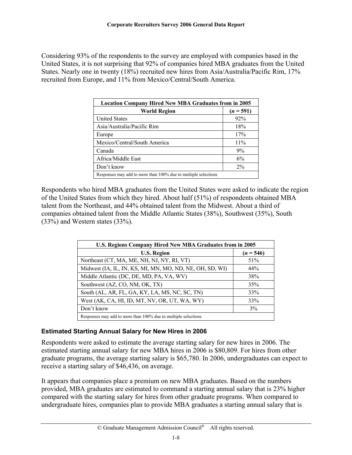<span id="page-10-0"></span>Considering 93% of the respondents to the survey are employed with companies based in the United States, it is not surprising that 92% of companies hired MBA graduates from the United States. Nearly one in twenty (18%) recruited new hires from Asia/Australia/Pacific Rim, 17% recruited from Europe, and 11% from Mexico/Central/South America.

| <b>Location Company Hired New MBA Graduates from in 2005</b>   |             |  |  |  |
|----------------------------------------------------------------|-------------|--|--|--|
| <b>World Region</b>                                            | $(n = 591)$ |  |  |  |
| <b>United States</b>                                           | 92%         |  |  |  |
| Asia/Australia/Pacific Rim                                     | 18%         |  |  |  |
| Europe                                                         | 17%         |  |  |  |
| Mexico/Central/South America                                   | 11%         |  |  |  |
| Canada                                                         | 9%          |  |  |  |
| Africa/Middle East                                             | 6%          |  |  |  |
| Don't know                                                     | $2\%$       |  |  |  |
| Responses may add to more than 100% due to multiple selections |             |  |  |  |

Respondents who hired MBA graduates from the United States were asked to indicate the region of the United States from which they hired. About half (51%) of respondents obtained MBA talent from the Northeast, and 44% obtained talent from the Midwest. About a third of companies obtained talent from the Middle Atlantic States (38%), Southwest (35%), South (33%) and Western states (33%).

| U.S. Regions Company Hired New MBA Graduates from in 2005      |             |  |  |
|----------------------------------------------------------------|-------------|--|--|
| <b>U.S. Region</b>                                             | $(n = 546)$ |  |  |
| Northeast (CT, MA, ME, NH, NJ, NY, RI, VT)                     | 51%         |  |  |
| Midwest (IA, IL, IN, KS, MI, MN, MO, ND, NE, OH, SD, WI)       | 44%         |  |  |
| Middle Atlantic (DC, DE, MD, PA, VA, WV)                       | 38%         |  |  |
| Southwest (AZ, CO, NM, OK, TX)                                 | 35%         |  |  |
| South (AL, AR, FL, GA, KY, LA, MS, NC, SC, TN)                 | 33%         |  |  |
| West (AK, CA, HI, ID, MT, NV, OR, UT, WA, WY)                  | 33%         |  |  |
| Don't know                                                     | 3%          |  |  |
| Responses may add to more than 100% due to multiple selections |             |  |  |

#### **Estimated Starting Annual Salary for New Hires in 2006**

Respondents were asked to estimate the average starting salary for new hires in 2006. The estimated starting annual salary for new MBA hires in 2006 is \$80,809. For hires from other graduate programs, the average starting salary is \$65,780. In 2006, undergraduates can expect to receive a starting salary of \$46,436, on average.

It appears that companies place a premium on new MBA graduates. Based on the numbers provided, MBA graduates are estimated to command a starting annual salary that is 23% higher compared with the starting salary for hires from other graduate programs. When compared to undergraduate hires, companies plan to provide MBA graduates a starting annual salary that is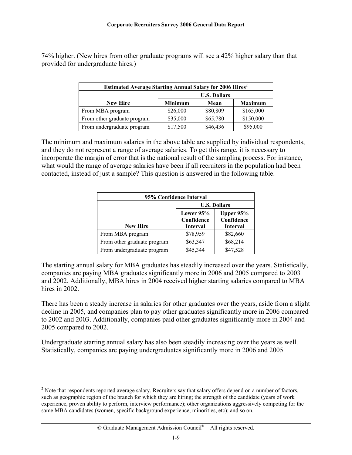74% higher. (New hires from other graduate programs will see a 42% higher salary than that provided for undergraduate hires.)

| Estimated Average Starting Annual Salary for 2006 Hires <sup>2</sup> |                     |          |                |  |
|----------------------------------------------------------------------|---------------------|----------|----------------|--|
|                                                                      | <b>U.S. Dollars</b> |          |                |  |
| <b>New Hire</b>                                                      | <b>Minimum</b>      | Mean     | <b>Maximum</b> |  |
| From MBA program                                                     | \$26,000            | \$80,809 | \$165,000      |  |
| From other graduate program                                          | \$35,000            | \$65,780 | \$150,000      |  |
| From undergraduate program                                           | \$17,500            | \$46,436 | \$95,000       |  |

The minimum and maximum salaries in the above table are supplied by individual respondents, and they do not represent a range of average salaries. To get this range, it is necessary to incorporate the margin of error that is the national result of the sampling process. For instance, what would the range of average salaries have been if all recruiters in the population had been contacted, instead of just a sample? This question is answered in the following table.

| 95% Confidence Interval     |                                                      |                 |  |  |
|-----------------------------|------------------------------------------------------|-----------------|--|--|
|                             | <b>U.S. Dollars</b>                                  |                 |  |  |
|                             | Upper 95%<br>Lower $95%$<br>Confidence<br>Confidence |                 |  |  |
| <b>New Hire</b>             | <b>Interval</b>                                      | <b>Interval</b> |  |  |
| From MBA program            | \$78,959                                             | \$82,660        |  |  |
| From other graduate program | \$63,347                                             | \$68,214        |  |  |
| From undergraduate program  | \$45,344                                             | \$47,528        |  |  |

The starting annual salary for MBA graduates has steadily increased over the years. Statistically, companies are paying MBA graduates significantly more in 2006 and 2005 compared to 2003 and 2002. Additionally, MBA hires in 2004 received higher starting salaries compared to MBA hires in 2002.

There has been a steady increase in salaries for other graduates over the years, aside from a slight decline in 2005, and companies plan to pay other graduates significantly more in 2006 compared to 2002 and 2003. Additionally, companies paid other graduates significantly more in 2004 and 2005 compared to 2002.

Undergraduate starting annual salary has also been steadily increasing over the years as well. Statistically, companies are paying undergraduates significantly more in 2006 and 2005

 $\overline{a}$ 

#### © Graduate Management Admission Council® All rights reserved.

 $2<sup>2</sup>$  Note that respondents reported average salary. Recruiters say that salary offers depend on a number of factors, such as geographic region of the branch for which they are hiring; the strength of the candidate (years of work experience, proven ability to perform, interview performance); other organizations aggressively competing for the same MBA candidates (women, specific background experience, minorities, etc); and so on.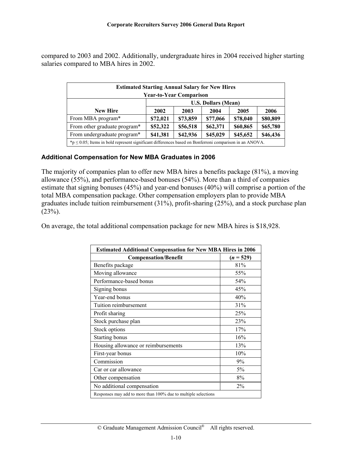<span id="page-12-0"></span>compared to 2003 and 2002. Additionally, undergraduate hires in 2004 received higher starting salaries compared to MBA hires in 2002.

| <b>Estimated Starting Annual Salary for New Hires</b><br><b>Year-to-Year Comparison</b>                        |                                                          |          |          |          |          |  |  |
|----------------------------------------------------------------------------------------------------------------|----------------------------------------------------------|----------|----------|----------|----------|--|--|
|                                                                                                                | <b>U.S. Dollars (Mean)</b>                               |          |          |          |          |  |  |
| <b>New Hire</b>                                                                                                | 2002<br>2004<br>2005<br>2006<br>2003                     |          |          |          |          |  |  |
| From MBA program*                                                                                              | \$72,021                                                 | \$73,859 | \$77,066 | \$78,040 | \$80,809 |  |  |
| From other graduate program*                                                                                   | \$52,322<br>\$56,518<br>\$65,780<br>\$62,371<br>\$60,865 |          |          |          |          |  |  |
| From undergraduate program*<br>\$42,936<br>\$41,381<br>\$46,436<br>\$45,029<br>\$45,652                        |                                                          |          |          |          |          |  |  |
| $*_p$ $\leq$ 0.05; Items in bold represent significant differences based on Bonferroni comparison in an ANOVA. |                                                          |          |          |          |          |  |  |

#### **Additional Compensation for New MBA Graduates in 2006**

The majority of companies plan to offer new MBA hires a benefits package (81%), a moving allowance (55%), and performance-based bonuses (54%). More than a third of companies estimate that signing bonuses (45%) and year-end bonuses (40%) will comprise a portion of the total MBA compensation package. Other compensation employers plan to provide MBA graduates include tuition reimbursement (31%), profit-sharing (25%), and a stock purchase plan  $(23%)$ .

On average, the total additional compensation package for new MBA hires is \$18,928.

| <b>Estimated Additional Compensation for New MBA Hires in 2006</b> |             |  |
|--------------------------------------------------------------------|-------------|--|
| <b>Compensation/Benefit</b>                                        | $(n = 529)$ |  |
| Benefits package                                                   | 81%         |  |
| Moving allowance                                                   | 55%         |  |
| Performance-based bonus                                            | 54%         |  |
| Signing bonus                                                      | 45%         |  |
| Year-end bonus                                                     | 40%         |  |
| Tuition reimbursement                                              | 31%         |  |
| Profit sharing                                                     | 25%         |  |
| Stock purchase plan                                                | 23%         |  |
| Stock options                                                      | 17%         |  |
| <b>Starting bonus</b>                                              | 16%         |  |
| Housing allowance or reimbursements                                | 13%         |  |
| First-year bonus                                                   | 10%         |  |
| Commission                                                         | 9%          |  |
| Car or car allowance                                               | 5%          |  |
| Other compensation                                                 | 8%          |  |
| No additional compensation                                         | $2\%$       |  |
| Responses may add to more than 100% due to multiple selections     |             |  |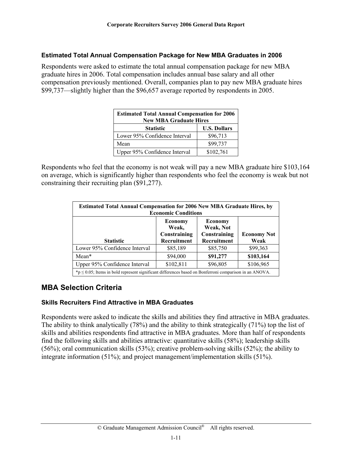#### <span id="page-13-0"></span>**Estimated Total Annual Compensation Package for New MBA Graduates in 2006**

Respondents were asked to estimate the total annual compensation package for new MBA graduate hires in 2006. Total compensation includes annual base salary and all other compensation previously mentioned. Overall, companies plan to pay new MBA graduate hires \$99,737—slightly higher than the \$96,657 average reported by respondents in 2005.

| <b>Estimated Total Annual Compensation for 2006</b><br><b>New MBA Graduate Hires</b> |                     |  |  |
|--------------------------------------------------------------------------------------|---------------------|--|--|
| <b>Statistic</b>                                                                     | <b>U.S. Dollars</b> |  |  |
| Lower 95% Confidence Interval                                                        | \$96,713            |  |  |
| Mean                                                                                 | \$99,737            |  |  |
| Upper 95% Confidence Interval                                                        | \$102,761           |  |  |

Respondents who feel that the economy is not weak will pay a new MBA graduate hire \$103,164 on average, which is significantly higher than respondents who feel the economy is weak but not constraining their recruiting plan (\$91,277).

| Estimated Total Annual Compensation for 2006 New MBA Graduate Hires, by<br><b>Economic Conditions</b>                                                                  |           |          |           |  |  |
|------------------------------------------------------------------------------------------------------------------------------------------------------------------------|-----------|----------|-----------|--|--|
| <b>Economy</b><br><b>Economy</b><br>Weak, Not<br>Weak,<br>Constraining<br>Constraining<br><b>Economy Not</b><br>Recruitment<br>Recruitment<br><b>Statistic</b><br>Weak |           |          |           |  |  |
| Lower 95% Confidence Interval                                                                                                                                          | \$85,189  | \$85,750 | \$99,363  |  |  |
| Mean*                                                                                                                                                                  | \$94,000  | \$91,277 | \$103,164 |  |  |
| Upper 95% Confidence Interval                                                                                                                                          | \$102,811 | \$96,805 | \$106,965 |  |  |
| $*_p$ $\leq$ 0.05; Items in bold represent significant differences based on Bonferroni comparison in an ANOVA.                                                         |           |          |           |  |  |

# **MBA Selection Criteria**

#### **Skills Recruiters Find Attractive in MBA Graduates**

Respondents were asked to indicate the skills and abilities they find attractive in MBA graduates. The ability to think analytically (78%) and the ability to think strategically (71%) top the list of skills and abilities respondents find attractive in MBA graduates. More than half of respondents find the following skills and abilities attractive: quantitative skills (58%); leadership skills (56%); oral communication skills (53%); creative problem-solving skills (52%); the ability to integrate information (51%); and project management/implementation skills (51%).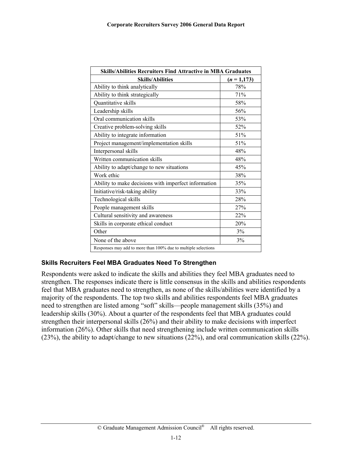<span id="page-14-0"></span>

| <b>Skills/Abilities Recruiters Find Attractive in MBA Graduates</b> |                |  |
|---------------------------------------------------------------------|----------------|--|
| <b>Skills/Abilities</b>                                             | $(n = 1, 173)$ |  |
| Ability to think analytically                                       | 78%            |  |
| Ability to think strategically                                      | 71%            |  |
| Quantitative skills                                                 | 58%            |  |
| Leadership skills                                                   | 56%            |  |
| Oral communication skills                                           | 53%            |  |
| Creative problem-solving skills                                     | 52%            |  |
| Ability to integrate information                                    | 51%            |  |
| Project management/implementation skills                            | 51%            |  |
| Interpersonal skills                                                | 48%            |  |
| Written communication skills                                        | 48%            |  |
| Ability to adapt/change to new situations                           | 45%            |  |
| Work ethic                                                          | 38%            |  |
| Ability to make decisions with imperfect information                | 35%            |  |
| Initiative/risk-taking ability                                      | 33%            |  |
| Technological skills                                                | 28%            |  |
| People management skills                                            | 27%            |  |
| Cultural sensitivity and awareness                                  | 22%            |  |
| Skills in corporate ethical conduct                                 | 20%            |  |
| Other                                                               | 3%             |  |
| None of the above                                                   | 3%             |  |
| Responses may add to more than 100% due to multiple selections      |                |  |

#### **Skills Recruiters Feel MBA Graduates Need To Strengthen**

Respondents were asked to indicate the skills and abilities they feel MBA graduates need to strengthen. The responses indicate there is little consensus in the skills and abilities respondents feel that MBA graduates need to strengthen, as none of the skills/abilities were identified by a majority of the respondents. The top two skills and abilities respondents feel MBA graduates need to strengthen are listed among "soft" skills—people management skills (35%) and leadership skills (30%). About a quarter of the respondents feel that MBA graduates could strengthen their interpersonal skills (26%) and their ability to make decisions with imperfect information (26%). Other skills that need strengthening include written communication skills (23%), the ability to adapt/change to new situations (22%), and oral communication skills (22%).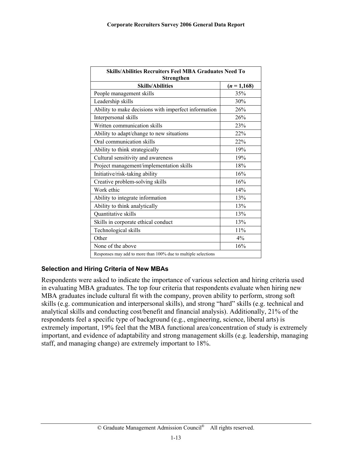<span id="page-15-0"></span>

| <b>Skills/Abilities Recruiters Feel MBA Graduates Need To</b><br>Strengthen |             |  |  |
|-----------------------------------------------------------------------------|-------------|--|--|
| <b>Skills/Abilities</b>                                                     | $(n=1,168)$ |  |  |
| People management skills                                                    | 35%         |  |  |
| Leadership skills                                                           | 30%         |  |  |
| Ability to make decisions with imperfect information                        | 26%         |  |  |
| Interpersonal skills                                                        | 26%         |  |  |
| Written communication skills                                                | 23%         |  |  |
| Ability to adapt/change to new situations                                   | 22%         |  |  |
| Oral communication skills                                                   | 22%         |  |  |
| Ability to think strategically                                              | 19%         |  |  |
| Cultural sensitivity and awareness                                          | 19%         |  |  |
| Project management/implementation skills                                    | 18%         |  |  |
| Initiative/risk-taking ability                                              | 16%         |  |  |
| Creative problem-solving skills                                             | 16%         |  |  |
| Work ethic                                                                  | 14%         |  |  |
| Ability to integrate information                                            | 13%         |  |  |
| Ability to think analytically                                               | 13%         |  |  |
| Quantitative skills                                                         | 13%         |  |  |
| Skills in corporate ethical conduct                                         | 13%         |  |  |
| Technological skills                                                        | 11%         |  |  |
| Other                                                                       | 4%          |  |  |
| None of the above                                                           | 16%         |  |  |
| Responses may add to more than 100% due to multiple selections              |             |  |  |

#### **Selection and Hiring Criteria of New MBAs**

Respondents were asked to indicate the importance of various selection and hiring criteria used in evaluating MBA graduates. The top four criteria that respondents evaluate when hiring new MBA graduates include cultural fit with the company, proven ability to perform, strong soft skills (e.g. communication and interpersonal skills), and strong "hard" skills (e.g. technical and analytical skills and conducting cost/benefit and financial analysis). Additionally, 21% of the respondents feel a specific type of background (e.g., engineering, science, liberal arts) is extremely important, 19% feel that the MBA functional area/concentration of study is extremely important, and evidence of adaptability and strong management skills (e.g. leadership, managing staff, and managing change) are extremely important to 18%.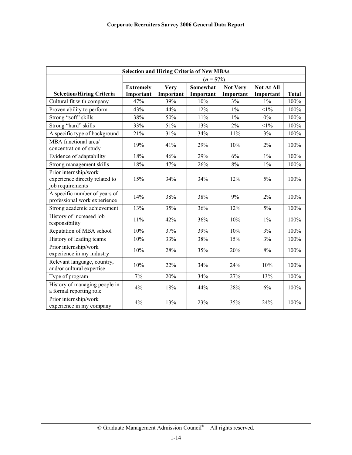| <b>Selection and Hiring Criteria of New MBAs</b>                            |                               |                          |                              |                              |                                |              |
|-----------------------------------------------------------------------------|-------------------------------|--------------------------|------------------------------|------------------------------|--------------------------------|--------------|
|                                                                             | $(n = 572)$                   |                          |                              |                              |                                |              |
| <b>Selection/Hiring Criteria</b>                                            | <b>Extremely</b><br>Important | <b>Very</b><br>Important | <b>Somewhat</b><br>Important | <b>Not Very</b><br>Important | <b>Not At All</b><br>Important | <b>Total</b> |
| Cultural fit with company                                                   | 47%                           | 39%                      | 10%                          | 3%                           | $1\%$                          | 100%         |
| Proven ability to perform                                                   | 43%                           | 44%                      | 12%                          | $1\%$                        | $<1\%$                         | 100%         |
| Strong "soft" skills                                                        | 38%                           | 50%                      | 11%                          | $1\%$                        | 0%                             | 100%         |
| Strong "hard" skills                                                        | 33%                           | 51%                      | 13%                          | 2%                           | $<1\%$                         | 100%         |
| A specific type of background                                               | 21%                           | 31%                      | 34%                          | 11%                          | 3%                             | 100%         |
| MBA functional area/<br>concentration of study                              | 19%                           | 41%                      | 29%                          | 10%                          | 2%                             | 100%         |
| Evidence of adaptability                                                    | 18%                           | 46%                      | 29%                          | 6%                           | $1\%$                          | 100%         |
| Strong management skills                                                    | 18%                           | 47%                      | 26%                          | 8%                           | $1\%$                          | 100%         |
| Prior internship/work<br>experience directly related to<br>job requirements | 15%                           | 34%                      | 34%                          | 12%                          | 5%                             | 100%         |
| A specific number of years of<br>professional work experience               | 14%                           | 38%                      | 38%                          | 9%                           | $2\%$                          | 100%         |
| Strong academic achievement                                                 | 13%                           | 35%                      | 36%                          | 12%                          | 5%                             | 100%         |
| History of increased job<br>responsibility                                  | 11%                           | 42%                      | 36%                          | 10%                          | $1\%$                          | 100%         |
| Reputation of MBA school                                                    | 10%                           | 37%                      | 39%                          | 10%                          | 3%                             | 100%         |
| History of leading teams                                                    | 10%                           | 33%                      | 38%                          | 15%                          | 3%                             | 100%         |
| Prior internship/work<br>experience in my industry                          | 10%                           | 28%                      | 35%                          | 20%                          | 8%                             | 100%         |
| Relevant language, country,<br>and/or cultural expertise                    | 10%                           | 22%                      | 34%                          | 24%                          | 10%                            | 100%         |
| Type of program                                                             | 7%                            | 20%                      | 34%                          | 27%                          | 13%                            | 100%         |
| History of managing people in<br>a formal reporting role                    | 4%                            | 18%                      | 44%                          | 28%                          | 6%                             | 100%         |
| Prior internship/work<br>experience in my company                           | 4%                            | 13%                      | 23%                          | 35%                          | 24%                            | 100%         |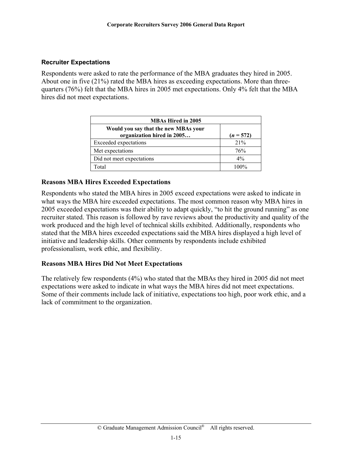#### <span id="page-17-0"></span>**Recruiter Expectations**

Respondents were asked to rate the performance of the MBA graduates they hired in 2005. About one in five (21%) rated the MBA hires as exceeding expectations. More than threequarters (76%) felt that the MBA hires in 2005 met expectations. Only 4% felt that the MBA hires did not meet expectations.

| <b>MBAs Hired in 2005</b>                                          |             |  |  |
|--------------------------------------------------------------------|-------------|--|--|
| Would you say that the new MBAs your<br>organization hired in 2005 | $(n = 572)$ |  |  |
| <b>Exceeded</b> expectations                                       | 21%         |  |  |
| Met expectations                                                   | 76%         |  |  |
| Did not meet expectations                                          | $4\%$       |  |  |
| Total                                                              | $100\%$     |  |  |

#### **Reasons MBA Hires Exceeded Expectations**

Respondents who stated the MBA hires in 2005 exceed expectations were asked to indicate in what ways the MBA hire exceeded expectations. The most common reason why MBA hires in 2005 exceeded expectations was their ability to adapt quickly, "to hit the ground running" as one recruiter stated. This reason is followed by rave reviews about the productivity and quality of the work produced and the high level of technical skills exhibited. Additionally, respondents who stated that the MBA hires exceeded expectations said the MBA hires displayed a high level of initiative and leadership skills. Other comments by respondents include exhibited professionalism, work ethic, and flexibility.

#### **Reasons MBA Hires Did Not Meet Expectations**

The relatively few respondents (4%) who stated that the MBAs they hired in 2005 did not meet expectations were asked to indicate in what ways the MBA hires did not meet expectations. Some of their comments include lack of initiative, expectations too high, poor work ethic, and a lack of commitment to the organization.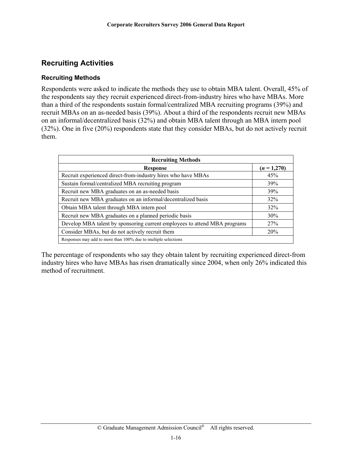# <span id="page-18-0"></span>**Recruiting Activities**

#### **Recruiting Methods**

Respondents were asked to indicate the methods they use to obtain MBA talent. Overall, 45% of the respondents say they recruit experienced direct-from-industry hires who have MBAs. More than a third of the respondents sustain formal/centralized MBA recruiting programs (39%) and recruit MBAs on an as-needed basis (39%). About a third of the respondents recruit new MBAs on an informal/decentralized basis (32%) and obtain MBA talent through an MBA intern pool (32%). One in five (20%) respondents state that they consider MBAs, but do not actively recruit them.

| <b>Recruiting Methods</b>                                                 |               |  |  |
|---------------------------------------------------------------------------|---------------|--|--|
| <b>Response</b>                                                           | $(n = 1,270)$ |  |  |
| Recruit experienced direct-from-industry hires who have MBAs              | 45%           |  |  |
| Sustain formal/centralized MBA recruiting program                         | <b>39%</b>    |  |  |
| Recruit new MBA graduates on an as-needed basis                           | <b>39%</b>    |  |  |
| Recruit new MBA graduates on an informal/decentralized basis              | 32%           |  |  |
| Obtain MBA talent through MBA intern pool                                 | 32%           |  |  |
| Recruit new MBA graduates on a planned periodic basis                     | 30%           |  |  |
| Develop MBA talent by sponsoring current employees to attend MBA programs | <b>27%</b>    |  |  |
| Consider MBAs, but do not actively recruit them                           | 20%           |  |  |
| Responses may add to more than 100% due to multiple selections            |               |  |  |

The percentage of respondents who say they obtain talent by recruiting experienced direct-from industry hires who have MBAs has risen dramatically since 2004, when only 26% indicated this method of recruitment.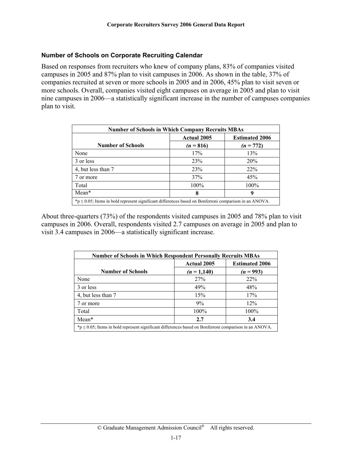#### <span id="page-19-0"></span>**Number of Schools on Corporate Recruiting Calendar**

Based on responses from recruiters who knew of company plans, 83% of companies visited campuses in 2005 and 87% plan to visit campuses in 2006. As shown in the table, 37% of companies recruited at seven or more schools in 2005 and in 2006, 45% plan to visit seven or more schools. Overall, companies visited eight campuses on average in 2005 and plan to visit nine campuses in 2006—a statistically significant increase in the number of campuses companies plan to visit.

| <b>Number of Schools in Which Company Recruits MBAs</b>                                                        |             |             |  |
|----------------------------------------------------------------------------------------------------------------|-------------|-------------|--|
| <b>Actual 2005</b><br><b>Estimated 2006</b>                                                                    |             |             |  |
| <b>Number of Schools</b>                                                                                       | $(n = 816)$ | $(n = 772)$ |  |
| None                                                                                                           | 17%         | 13%         |  |
| 3 or less                                                                                                      | 23%         | 20%         |  |
| 4, but less than 7                                                                                             | 23%         | 22%         |  |
| 7 or more                                                                                                      | 37%         | 45%         |  |
| Total                                                                                                          | 100%        | $100\%$     |  |
| Mean*                                                                                                          | 8           | 9           |  |
| $*_p$ $\leq$ 0.05; Items in bold represent significant differences based on Bonferroni comparison in an ANOVA. |             |             |  |

About three-quarters (73%) of the respondents visited campuses in 2005 and 78% plan to visit campuses in 2006. Overall, respondents visited 2.7 campuses on average in 2005 and plan to visit 3.4 campuses in 2006—a statistically significant increase.

| <b>Number of Schools in Which Respondent Personally Recruits MBAs</b>                                          |                                             |             |  |
|----------------------------------------------------------------------------------------------------------------|---------------------------------------------|-------------|--|
|                                                                                                                | <b>Estimated 2006</b><br><b>Actual 2005</b> |             |  |
| <b>Number of Schools</b>                                                                                       | $(n = 1,140)$                               | $(n = 993)$ |  |
| None                                                                                                           | 27%                                         | 22%         |  |
| 3 or less                                                                                                      | 49%                                         | 48%         |  |
| 4, but less than 7                                                                                             | 15%                                         | 17%         |  |
| 7 or more                                                                                                      | 9%                                          | 12%         |  |
| Total                                                                                                          | 100%                                        | 100%        |  |
| Mean*                                                                                                          | 2.7                                         | 3.4         |  |
| $*_p$ $\leq$ 0.05; Items in bold represent significant differences based on Bonferroni comparison in an ANOVA. |                                             |             |  |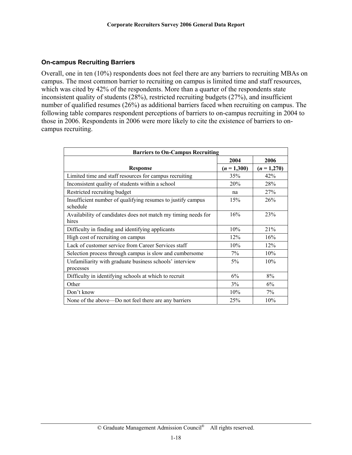#### <span id="page-20-0"></span>**On-campus Recruiting Barriers**

Overall, one in ten (10%) respondents does not feel there are any barriers to recruiting MBAs on campus. The most common barrier to recruiting on campus is limited time and staff resources, which was cited by 42% of the respondents. More than a quarter of the respondents state inconsistent quality of students (28%), restricted recruiting budgets (27%), and insufficient number of qualified resumes (26%) as additional barriers faced when recruiting on campus. The following table compares respondent perceptions of barriers to on-campus recruiting in 2004 to those in 2006. Respondents in 2006 were more likely to cite the existence of barriers to oncampus recruiting.

| <b>Barriers to On-Campus Recruiting</b>                                 |               |               |  |
|-------------------------------------------------------------------------|---------------|---------------|--|
|                                                                         | 2004          | 2006          |  |
| <b>Response</b>                                                         | $(n = 1,300)$ | $(n = 1,270)$ |  |
| Limited time and staff resources for campus recruiting                  | 35%           | 42%           |  |
| Inconsistent quality of students within a school                        | 20%           | 28%           |  |
| Restricted recruiting budget                                            | na            | 27%           |  |
| Insufficient number of qualifying resumes to justify campus<br>schedule | 15%           | 26%           |  |
| Availability of candidates does not match my timing needs for<br>hires  | 16%           | 23%           |  |
| Difficulty in finding and identifying applicants                        | 10%           | 21%           |  |
| High cost of recruiting on campus                                       | 12%           | 16%           |  |
| Lack of customer service from Career Services staff                     | 10%           | 12%           |  |
| Selection process through campus is slow and cumbersome                 | 7%            | 10%           |  |
| Unfamiliarity with graduate business schools' interview<br>processes    | 5%            | 10%           |  |
| Difficulty in identifying schools at which to recruit                   | 6%            | 8%            |  |
| Other                                                                   | 3%            | 6%            |  |
| Don't know                                                              | 10%           | 7%            |  |
| None of the above—Do not feel there are any barriers                    | 25%           | 10%           |  |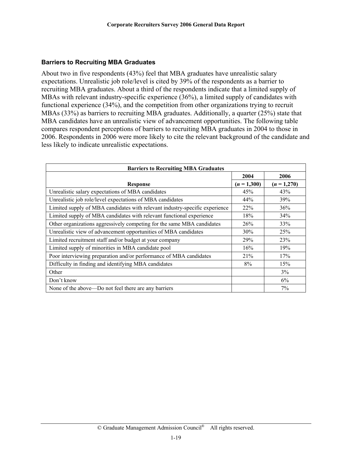#### <span id="page-21-0"></span>**Barriers to Recruiting MBA Graduates**

About two in five respondents (43%) feel that MBA graduates have unrealistic salary expectations. Unrealistic job role/level is cited by 39% of the respondents as a barrier to recruiting MBA graduates. About a third of the respondents indicate that a limited supply of MBAs with relevant industry-specific experience (36%), a limited supply of candidates with functional experience (34%), and the competition from other organizations trying to recruit MBAs (33%) as barriers to recruiting MBA graduates. Additionally, a quarter (25%) state that MBA candidates have an unrealistic view of advancement opportunities. The following table compares respondent perceptions of barriers to recruiting MBA graduates in 2004 to those in 2006. Respondents in 2006 were more likely to cite the relevant background of the candidate and less likely to indicate unrealistic expectations.

| <b>Barriers to Recruiting MBA Graduates</b>                                 |               |               |  |
|-----------------------------------------------------------------------------|---------------|---------------|--|
|                                                                             | 2004          | 2006          |  |
| <b>Response</b>                                                             | $(n = 1,300)$ | $(n = 1,270)$ |  |
| Unrealistic salary expectations of MBA candidates                           | 45%           | 43%           |  |
| Unrealistic job role/level expectations of MBA candidates                   | 44%           | 39%           |  |
| Limited supply of MBA candidates with relevant industry-specific experience | 22%           | 36%           |  |
| Limited supply of MBA candidates with relevant functional experience        | 18%           | 34%           |  |
| Other organizations aggressively competing for the same MBA candidates      | 26%           | 33%           |  |
| Unrealistic view of advancement opportunities of MBA candidates             | 30%           | 25%           |  |
| Limited recruitment staff and/or budget at your company                     | 29%           | 23%           |  |
| Limited supply of minorities in MBA candidate pool                          | 16%           | 19%           |  |
| Poor interviewing preparation and/or performance of MBA candidates          | 21%           | 17%           |  |
| Difficulty in finding and identifying MBA candidates                        | 8%            | 15%           |  |
| Other                                                                       |               | 3%            |  |
| Don't know                                                                  |               | 6%            |  |
| None of the above—Do not feel there are any barriers                        |               | 7%            |  |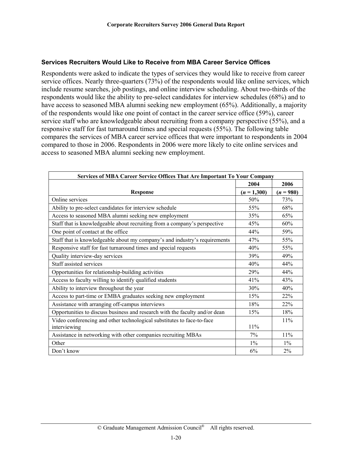#### <span id="page-22-0"></span>**Services Recruiters Would Like to Receive from MBA Career Service Offices**

Respondents were asked to indicate the types of services they would like to receive from career service offices. Nearly three-quarters (73%) of the respondents would like online services, which include resume searches, job postings, and online interview scheduling. About two-thirds of the respondents would like the ability to pre-select candidates for interview schedules (68%) and to have access to seasoned MBA alumni seeking new employment (65%). Additionally, a majority of the respondents would like one point of contact in the career service office (59%), career service staff who are knowledgeable about recruiting from a company perspective (55%), and a responsive staff for fast turnaround times and special requests (55%). The following table compares the services of MBA career service offices that were important to respondents in 2004 compared to those in 2006. Respondents in 2006 were more likely to cite online services and access to seasoned MBA alumni seeking new employment.

| <b>Services of MBA Career Service Offices That Are Important To Your Company</b> |               |             |  |
|----------------------------------------------------------------------------------|---------------|-------------|--|
|                                                                                  | 2004          | 2006        |  |
| <b>Response</b>                                                                  | $(n = 1,300)$ | $(n = 980)$ |  |
| Online services                                                                  | 50%           | 73%         |  |
| Ability to pre-select candidates for interview schedule                          | 55%           | 68%         |  |
| Access to seasoned MBA alumni seeking new employment                             | 35%           | 65%         |  |
| Staff that is knowledgeable about recruiting from a company's perspective        | 45%           | 60%         |  |
| One point of contact at the office                                               | 44%           | 59%         |  |
| Staff that is knowledgeable about my company's and industry's requirements       | 47%           | 55%         |  |
| Responsive staff for fast turnaround times and special requests                  | 40%           | 55%         |  |
| Quality interview-day services                                                   | 39%           | 49%         |  |
| Staff assisted services                                                          | 40%           | 44%         |  |
| Opportunities for relationship-building activities                               | 29%           | 44%         |  |
| Access to faculty willing to identify qualified students                         | 41%           | 43%         |  |
| Ability to interview throughout the year                                         | 30%           | 40%         |  |
| Access to part-time or EMBA graduates seeking new employment                     | 15%           | 22%         |  |
| Assistance with arranging off-campus interviews                                  | 18%           | 22%         |  |
| Opportunities to discuss business and research with the faculty and/or dean      | 15%           | 18%         |  |
| Video conferencing and other technological substitutes to face-to-face           |               | 11%         |  |
| interviewing                                                                     | $11\%$        |             |  |
| Assistance in networking with other companies recruiting MBAs                    | 7%            | 11%         |  |
| Other                                                                            | $1\%$         | $1\%$       |  |
| Don't know                                                                       | 6%            | 2%          |  |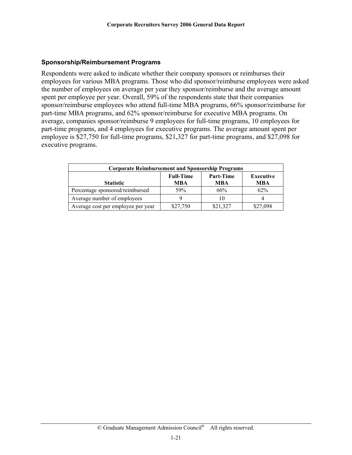#### <span id="page-23-0"></span>**Sponsorship/Reimbursement Programs**

Respondents were asked to indicate whether their company sponsors or reimburses their employees for various MBA programs. Those who did sponsor/reimburse employees were asked the number of employees on average per year they sponsor/reimburse and the average amount spent per employee per year. Overall, 59% of the respondents state that their companies sponsor/reimburse employees who attend full-time MBA programs, 66% sponsor/reimburse for part-time MBA programs, and 62% sponsor/reimburse for executive MBA programs. On average, companies sponsor/reimburse 9 employees for full-time programs, 10 employees for part-time programs, and 4 employees for executive programs. The average amount spent per employee is \$27,750 for full-time programs, \$21,327 for part-time programs, and \$27,098 for executive programs.

| <b>Corporate Reimbursement and Sponsorship Programs</b> |            |            |          |  |
|---------------------------------------------------------|------------|------------|----------|--|
| <b>Full-Time</b><br>Part-Time<br><b>Executive</b>       |            |            |          |  |
| <b>Statistic</b>                                        | <b>MBA</b> | <b>MBA</b> | MBA      |  |
| Percentage sponsored/reimbursed                         | 59%        | 66%        | 62%      |  |
| Average number of employees                             |            |            |          |  |
| Average cost per employee per year                      | \$27,750   | \$21,327   | \$27,098 |  |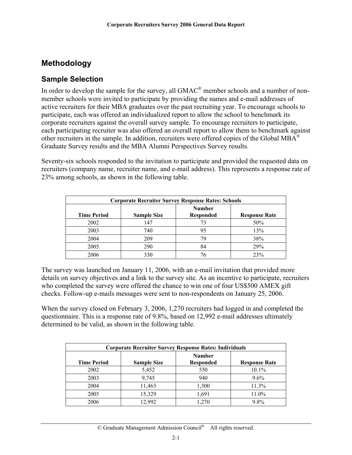# <span id="page-24-0"></span>**Methodology**

### **Sample Selection**

In order to develop the sample for the survey, all GMAC<sup>®</sup> member schools and a number of nonmember schools were invited to participate by providing the names and e-mail addresses of active recruiters for their MBA graduates over the past recruiting year. To encourage schools to participate, each was offered an individualized report to allow the school to benchmark its corporate recruiters against the overall survey sample. To encourage recruiters to participate, each participating recruiter was also offered an overall report to allow them to benchmark against other recruiters in the sample. In addition, recruiters were offered copies of the Global MBA<sup>®</sup> Graduate Survey results and the MBA Alumni Perspectives Survey results.

Seventy-six schools responded to the invitation to participate and provided the requested data on recruiters (company name, recruiter name, and e-mail address). This represents a response rate of 23% among schools, as shown in the following table.

| <b>Corporate Recruiter Survey Response Rates: Schools</b> |                    |                                   |                      |
|-----------------------------------------------------------|--------------------|-----------------------------------|----------------------|
| <b>Time Period</b>                                        | <b>Sample Size</b> | <b>Number</b><br><b>Responded</b> | <b>Response Rate</b> |
| 2002                                                      | 147                | 73                                | 50%                  |
| 2003                                                      | 740                | 95                                | 13%                  |
| 2004                                                      | 209                | 79                                | 38%                  |
| 2005                                                      | 290                | 84                                | 29%                  |
| 2006                                                      | 330                |                                   | 23%                  |

The survey was launched on January 11, 2006, with an e-mail invitation that provided more details on survey objectives and a link to the survey site. As an incentive to participate, recruiters who completed the survey were offered the chance to win one of four US\$500 AMEX gift checks. Follow-up e-mails messages were sent to non-respondents on January 25, 2006.

When the survey closed on February 3, 2006, 1,270 recruiters had logged in and completed the questionnaire. This is a response rate of 9.8%, based on 12,992 e-mail addresses ultimately determined to be valid, as shown in the following table.

| <b>Corporate Recruiter Survey Response Rates: Individuals</b> |                    |                                   |                      |
|---------------------------------------------------------------|--------------------|-----------------------------------|----------------------|
| <b>Time Period</b>                                            | <b>Sample Size</b> | <b>Number</b><br><b>Responded</b> | <b>Response Rate</b> |
| 2002                                                          | 5,452              | 550                               | 10.1%                |
| 2003                                                          | 9,745              | 940                               | 9.6%                 |
| 2004                                                          | 11,463             | 1,300                             | 11.3%                |
| 2005                                                          | 15,329             | 1,691                             | 11.0%                |
| 2006                                                          | 12,992             | 1,270                             | 9.8%                 |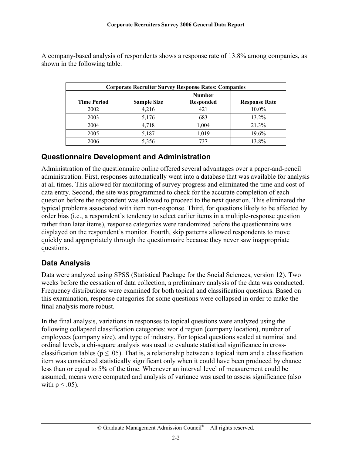| <b>Corporate Recruiter Survey Response Rates: Companies</b> |                    |                                   |                      |
|-------------------------------------------------------------|--------------------|-----------------------------------|----------------------|
| <b>Time Period</b>                                          | <b>Sample Size</b> | <b>Number</b><br><b>Responded</b> | <b>Response Rate</b> |
| 2002                                                        | 4,216              | 421                               | 10.0%                |
| 2003                                                        | 5,176              | 683                               | 13.2%                |
| 2004                                                        | 4,718              | 1,004                             | 21.3%                |
| 2005                                                        | 5,187              | 1,019                             | 19.6%                |
| 2006                                                        | 5,356              | 737                               | 13.8%                |

<span id="page-25-0"></span>A company-based analysis of respondents shows a response rate of 13.8% among companies, as shown in the following table.

# **Questionnaire Development and Administration**

Administration of the questionnaire online offered several advantages over a paper-and-pencil administration. First, responses automatically went into a database that was available for analysis at all times. This allowed for monitoring of survey progress and eliminated the time and cost of data entry. Second, the site was programmed to check for the accurate completion of each question before the respondent was allowed to proceed to the next question. This eliminated the typical problems associated with item non-response. Third, for questions likely to be affected by order bias (i.e., a respondent's tendency to select earlier items in a multiple-response question rather than later items), response categories were randomized before the questionnaire was displayed on the respondent's monitor. Fourth, skip patterns allowed respondents to move quickly and appropriately through the questionnaire because they never saw inappropriate questions.

# **Data Analysis**

Data were analyzed using SPSS (Statistical Package for the Social Sciences, version 12). Two weeks before the cessation of data collection, a preliminary analysis of the data was conducted. Frequency distributions were examined for both topical and classification questions. Based on this examination, response categories for some questions were collapsed in order to make the final analysis more robust.

In the final analysis, variations in responses to topical questions were analyzed using the following collapsed classification categories: world region (company location), number of employees (company size), and type of industry. For topical questions scaled at nominal and ordinal levels, a chi-square analysis was used to evaluate statistical significance in crossclassification tables ( $p \leq .05$ ). That is, a relationship between a topical item and a classification item was considered statistically significant only when it could have been produced by chance less than or equal to 5% of the time. Whenever an interval level of measurement could be assumed, means were computed and analysis of variance was used to assess significance (also with  $p \leq .05$ ).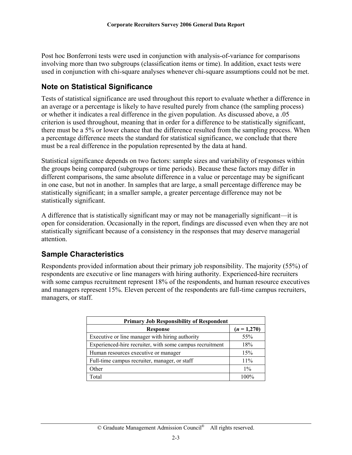<span id="page-26-0"></span>Post hoc Bonferroni tests were used in conjunction with analysis-of-variance for comparisons involving more than two subgroups (classification items or time). In addition, exact tests were used in conjunction with chi-square analyses whenever chi-square assumptions could not be met.

### **Note on Statistical Significance**

Tests of statistical significance are used throughout this report to evaluate whether a difference in an average or a percentage is likely to have resulted purely from chance (the sampling process) or whether it indicates a real difference in the given population. As discussed above, a .05 criterion is used throughout, meaning that in order for a difference to be statistically significant, there must be a 5% or lower chance that the difference resulted from the sampling process. When a percentage difference meets the standard for statistical significance, we conclude that there must be a real difference in the population represented by the data at hand.

Statistical significance depends on two factors: sample sizes and variability of responses within the groups being compared (subgroups or time periods). Because these factors may differ in different comparisons, the same absolute difference in a value or percentage may be significant in one case, but not in another. In samples that are large, a small percentage difference may be statistically significant; in a smaller sample, a greater percentage difference may not be statistically significant.

A difference that is statistically significant may or may not be managerially significant—it is open for consideration. Occasionally in the report, findings are discussed even when they are not statistically significant because of a consistency in the responses that may deserve managerial attention.

### **Sample Characteristics**

Respondents provided information about their primary job responsibility. The majority (55%) of respondents are executive or line managers with hiring authority. Experienced-hire recruiters with some campus recruitment represent 18% of the respondents, and human resource executives and managers represent 15%. Eleven percent of the respondents are full-time campus recruiters, managers, or staff.

| <b>Primary Job Responsibility of Respondent</b>          |               |  |
|----------------------------------------------------------|---------------|--|
| <b>Response</b>                                          | $(n = 1,270)$ |  |
| Executive or line manager with hiring authority          | 55%           |  |
| Experienced-hire recruiter, with some campus recruitment | 18%           |  |
| Human resources executive or manager                     | 15%           |  |
| Full-time campus recruiter, manager, or staff            | 11%           |  |
| Other                                                    | $1\%$         |  |
| Total                                                    | 100%          |  |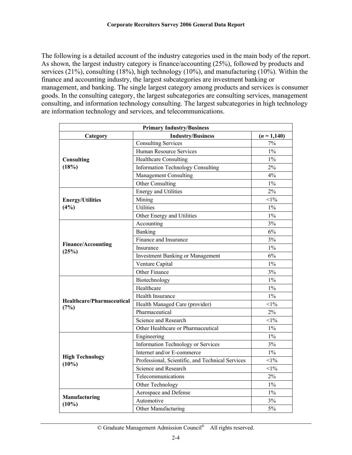The following is a detailed account of the industry categories used in the main body of the report. As shown, the largest industry category is finance/accounting (25%), followed by products and services (21%), consulting (18%), high technology (10%), and manufacturing (10%). Within the finance and accounting industry, the largest subcategories are investment banking or management, and banking. The single largest category among products and services is consumer goods. In the consulting category, the largest subcategories are consulting services, management consulting, and information technology consulting. The largest subcategories in high technology are information technology and services, and telecommunications.

| <b>Primary Industry/Business</b>  |                                                  |               |  |
|-----------------------------------|--------------------------------------------------|---------------|--|
| Category                          | <b>Industry/Business</b>                         | $(n = 1,140)$ |  |
|                                   | <b>Consulting Services</b>                       | 7%            |  |
|                                   | Human Resource Services                          | $1\%$         |  |
| Consulting                        | <b>Healthcare Consulting</b>                     | $1\%$         |  |
| (18%)                             | <b>Information Technology Consulting</b>         | 2%            |  |
|                                   | Management Consulting                            | 4%            |  |
|                                   | Other Consulting                                 | $1\%$         |  |
|                                   | <b>Energy and Utilities</b>                      | 2%            |  |
| <b>Energy/Utilities</b>           | Mining                                           | $<1\%$        |  |
| (4%)                              | Utilities                                        | $1\%$         |  |
|                                   | Other Energy and Utilities                       | $1\%$         |  |
|                                   | Accounting                                       | 3%            |  |
|                                   | Banking                                          | 6%            |  |
|                                   | Finance and Insurance                            | 3%            |  |
| <b>Finance/Accounting</b>         | Insurance                                        | $1\%$         |  |
| (25%)                             | <b>Investment Banking or Management</b>          | 6%            |  |
|                                   | Venture Capital                                  | $1\%$         |  |
|                                   | Other Finance                                    | 3%            |  |
|                                   | Biotechnology                                    | $1\%$         |  |
|                                   | Healthcare                                       | $1\%$         |  |
| Healthcare/Pharmaceutical<br>(7%) | Health Insurance                                 | $1\%$         |  |
|                                   | Health Managed Care (provider)                   | $<1\%$        |  |
|                                   | Pharmaceutical                                   | 2%            |  |
|                                   | Science and Research                             | $<1\%$        |  |
|                                   | Other Healthcare or Pharmaceutical               | $1\%$         |  |
|                                   | Engineering                                      | $1\%$         |  |
|                                   | Information Technology or Services               | 3%            |  |
|                                   | Internet and/or E-commerce                       | $1\%$         |  |
| <b>High Technology</b>            | Professional, Scientific, and Technical Services | $1\%$         |  |
| $(10\%)$                          | Science and Research                             | $<1\%$        |  |
|                                   | Telecommunications                               | 2%            |  |
|                                   | Other Technology                                 | $1\%$         |  |
|                                   | Aerospace and Defense                            | $1\%$         |  |
| Manufacturing                     | Automotive                                       | 3%            |  |
| $(10\%)$                          | Other Manufacturing                              | 5%            |  |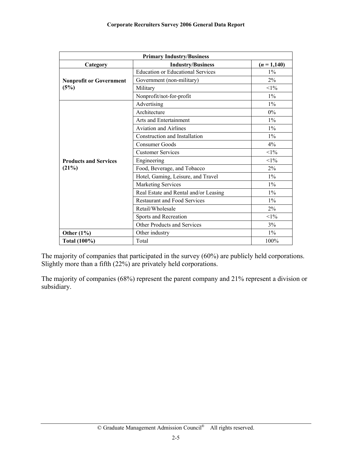| <b>Primary Industry/Business</b> |                                          |               |  |
|----------------------------------|------------------------------------------|---------------|--|
| Category                         | <b>Industry/Business</b>                 | $(n = 1,140)$ |  |
|                                  | <b>Education or Educational Services</b> | $1\%$         |  |
| <b>Nonprofit or Government</b>   | Government (non-military)                | $2\%$         |  |
| (5%)                             | Military                                 | $<1\%$        |  |
|                                  | Nonprofit/not-for-profit                 | $1\%$         |  |
|                                  | Advertising                              | $1\%$         |  |
|                                  | Architecture                             | 0%            |  |
|                                  | Arts and Entertainment                   | $1\%$         |  |
|                                  | <b>Aviation and Airlines</b>             | $1\%$         |  |
|                                  | Construction and Installation            | $1\%$         |  |
|                                  | <b>Consumer Goods</b>                    | 4%            |  |
|                                  | <b>Customer Services</b>                 | $<1\%$        |  |
| <b>Products and Services</b>     | Engineering                              | $<1\%$        |  |
| (21%)                            | Food, Beverage, and Tobacco              | $2\%$         |  |
|                                  | Hotel, Gaming, Leisure, and Travel       | $1\%$         |  |
|                                  | <b>Marketing Services</b>                | $1\%$         |  |
|                                  | Real Estate and Rental and/or Leasing    | $1\%$         |  |
|                                  | <b>Restaurant and Food Services</b>      | $1\%$         |  |
|                                  | Retail/Wholesale                         | 2%            |  |
|                                  | Sports and Recreation                    | $<1\%$        |  |
|                                  | Other Products and Services              | 3%            |  |
| Other $(1\%)$                    | Other industry                           | $1\%$         |  |
| <b>Total (100%)</b>              | Total                                    | 100%          |  |

The majority of companies that participated in the survey (60%) are publicly held corporations. Slightly more than a fifth (22%) are privately held corporations.

The majority of companies (68%) represent the parent company and 21% represent a division or subsidiary.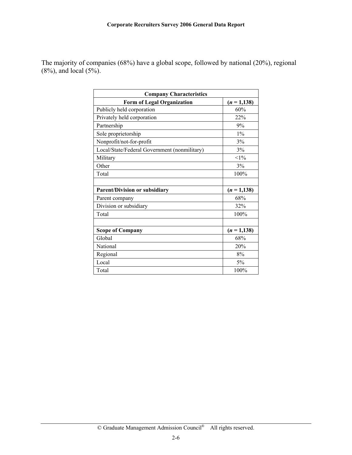The majority of companies (68%) have a global scope, followed by national (20%), regional  $(8\%)$ , and local  $(5\%)$ .

| <b>Company Characteristics</b>               |                |  |  |
|----------------------------------------------|----------------|--|--|
| <b>Form of Legal Organization</b>            | $(n=1,138)$    |  |  |
| Publicly held corporation                    | 60%            |  |  |
| Privately held corporation                   | 22%            |  |  |
| Partnership                                  | 9%             |  |  |
| Sole proprietorship                          | $1\%$          |  |  |
| Nonprofit/not-for-profit                     | 3%             |  |  |
| Local/State/Federal Government (nonmilitary) | 3%             |  |  |
| Military                                     | $<1\%$         |  |  |
| Other                                        | 3%             |  |  |
| Total                                        | 100%           |  |  |
|                                              |                |  |  |
| <b>Parent/Division or subsidiary</b>         | $(n = 1, 138)$ |  |  |
| Parent company                               | 68%            |  |  |
| Division or subsidiary                       | 32%            |  |  |
| Total                                        | 100%           |  |  |
|                                              |                |  |  |
| <b>Scope of Company</b>                      | $(n=1,138)$    |  |  |
| Global                                       | 68%            |  |  |
| National                                     | 20%            |  |  |
| Regional                                     | 8%             |  |  |
| Local                                        | 5%             |  |  |
| Total                                        | 100%           |  |  |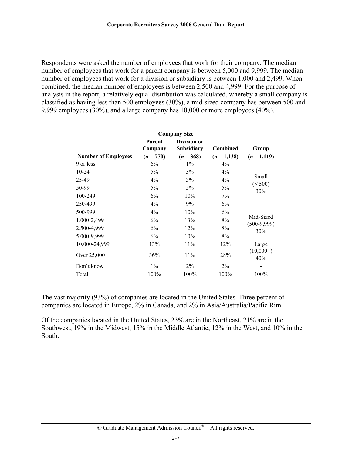Respondents were asked the number of employees that work for their company. The median number of employees that work for a parent company is between 5,000 and 9,999. The median number of employees that work for a division or subsidiary is between 1,000 and 2,499. When combined, the median number of employees is between 2,500 and 4,999. For the purpose of analysis in the report, a relatively equal distribution was calculated, whereby a small company is classified as having less than 500 employees (30%), a mid-sized company has between 500 and 9,999 employees (30%), and a large company has 10,000 or more employees (40%).

| <b>Company Size</b>        |                   |                           |             |                                   |  |
|----------------------------|-------------------|---------------------------|-------------|-----------------------------------|--|
|                            | Parent<br>Company | Division or<br>Subsidiary | Combined    | Group                             |  |
| <b>Number of Employees</b> | $(n = 770)$       | $(n = 368)$               | $(n=1,138)$ | $(n = 1, 119)$                    |  |
| 9 or less                  | 6%                | $1\%$                     | $4\%$       |                                   |  |
| 10-24                      | 5%                | 3%                        | 4%          | Small<br>(< 500)<br>30%           |  |
| 25-49                      | 4%                | 3%                        | 4%          |                                   |  |
| 50-99                      | 5%                | $5\%$                     | 5%          |                                   |  |
| 100-249                    | 6%                | 10%                       | 7%          |                                   |  |
| 250-499                    | 4%                | 9%                        | 6%          |                                   |  |
| 500-999                    | 4%                | 10%                       | 6%          |                                   |  |
| 1,000-2,499                | 6%                | 13%                       | 8%          | Mid-Sized<br>$(500-9,999)$<br>30% |  |
| 2,500-4,999                | 6%                | 12%                       | 8%          |                                   |  |
| 5,000-9,999                | 6%                | 10%                       | 8%          |                                   |  |
| 10,000-24,999              | 13%               | 11%                       | 12%         | Large                             |  |
| Over 25,000                | 36%               | 11%                       | 28%         | $(10,000+)$<br>40%                |  |
| Don't know                 | $1\%$             | 2%                        | $2\%$       |                                   |  |
| Total                      | 100%              | 100%                      | 100%        | 100%                              |  |

The vast majority (93%) of companies are located in the United States. Three percent of companies are located in Europe, 2% in Canada, and 2% in Asia/Australia/Pacific Rim.

Of the companies located in the United States, 23% are in the Northeast, 21% are in the Southwest, 19% in the Midwest, 15% in the Middle Atlantic, 12% in the West, and 10% in the South.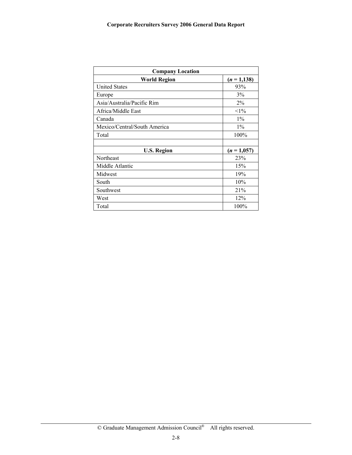| <b>Company Location</b>      |                |  |  |
|------------------------------|----------------|--|--|
| <b>World Region</b>          | $(n = 1, 138)$ |  |  |
| <b>United States</b>         | 93%            |  |  |
| Europe                       | 3%             |  |  |
| Asia/Australia/Pacific Rim   | 2%             |  |  |
| Africa/Middle East           | $<1\%$         |  |  |
| Canada                       | $1\%$          |  |  |
| Mexico/Central/South America | $1\%$          |  |  |
| Total                        | 100%           |  |  |
|                              |                |  |  |
| <b>U.S. Region</b>           | $(n = 1,057)$  |  |  |
| Northeast                    | 23%            |  |  |
| Middle Atlantic              | 15%            |  |  |
| Midwest                      | 19%            |  |  |
| South                        | 10%            |  |  |
| Southwest                    | 21%            |  |  |
| West                         | 12%            |  |  |
| Total                        | 100%           |  |  |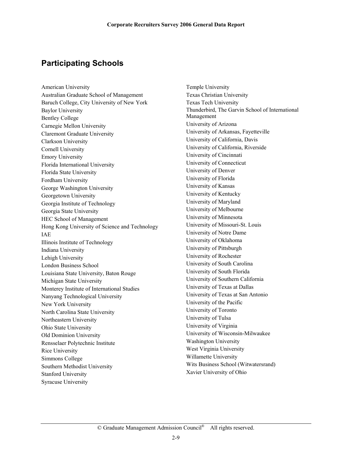# **Participating Schools**

American University Australian Graduate School of Management Baruch College, City University of New York Baylor University Bentley College Carnegie Mellon University Claremont Graduate University Clarkson University Cornell University Emory University Florida International University Florida State University Fordham University George Washington University Georgetown University Georgia Institute of Technology Georgia State University HEC School of Management Hong Kong University of Science and Technology IAE Illinois Institute of Technology Indiana University Lehigh University London Business School Louisiana State University, Baton Rouge Michigan State University Monterey Institute of International Studies Nanyang Technological University New York University North Carolina State University Northeastern University Ohio State University Old Dominion University Rensselaer Polytechnic Institute Rice University Simmons College Southern Methodist University Stanford University Syracuse University

Temple University Texas Christian University Texas Tech University Thunderbird, The Garvin School of International Management University of Arizona University of Arkansas, Fayetteville University of California, Davis University of California, Riverside University of Cincinnati University of Connecticut University of Denver University of Florida University of Kansas University of Kentucky University of Maryland University of Melbourne University of Minnesota University of Missouri-St. Louis University of Notre Dame University of Oklahoma University of Pittsburgh University of Rochester University of South Carolina University of South Florida University of Southern California University of Texas at Dallas University of Texas at San Antonio University of the Pacific University of Toronto University of Tulsa University of Virginia University of Wisconsin-Milwaukee Washington University West Virginia University Willamette University Wits Business School (Witwatersrand) Xavier University of Ohio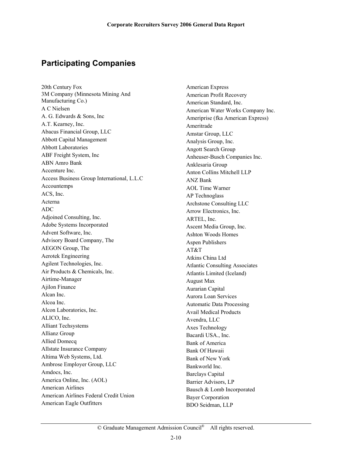# **Participating Companies**

20th Century Fox 3M Company (Minnesota Mining And Manufacturing Co.) A C Nielsen A. G. Edwards & Sons, Inc A.T. Kearney, Inc. Abacus Financial Group, LLC Abbott Capital Management Abbott Laboratories ABF Freight System, Inc ABN Amro Bank Accenture Inc. Access Business Group International, L.L.C Accountemps ACS, Inc. Acterna ADC Adjoined Consulting, Inc. Adobe Systems Incorporated Advent Software, Inc. Advisory Board Company, The AEGON Group, The Aerotek Engineering Agilent Technologies, Inc. Air Products & Chemicals, Inc. Airtime-Manager Ajilon Finance Alcan Inc. Alcoa Inc. Alcon Laboratories, Inc. ALICO, Inc. Alliant Techsystems Allianz Group Allied Domecq Allstate Insurance Company Altima Web Systems, Ltd. Ambrose Employer Group, LLC Amdocs, Inc. America Online, Inc. (AOL) American Airlines American Airlines Federal Credit Union American Eagle Outfitters

American Express American Profit Recovery American Standard, Inc. American Water Works Company Inc. Ameriprise (fka American Express) Ameritrade Amstar Group, LLC Analysis Group, Inc. Angott Search Group Anheuser-Busch Companies Inc. Anklesaria Group Anton Collins Mitchell LLP ANZ Bank AOL Time Warner AP Technoglass Archstone Consulting LLC Arrow Electronics, Inc. ARTEL, Inc. Ascent Media Group, Inc. Ashton Woods Homes Aspen Publishers AT&T Atkins China Ltd Atlantic Consulting Associates Atlantis Limited (Iceland) August Max Aurarian Capital Aurora Loan Services Automatic Data Processing Avail Medical Products Avendra, LLC Axes Technology Bacardi USA., Inc. Bank of America Bank Of Hawaii Bank of New York Bankworld Inc. Barclays Capital Barrier Advisors, LP Bausch & Lomb Incorporated Bayer Corporation BDO Seidman, LLP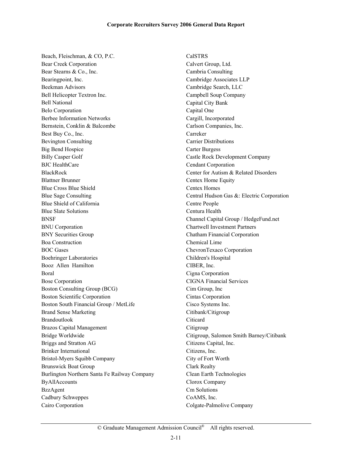Beach, Fleischman, & CO, P.C. Bear Creek Corporation Bear Stearns & Co., Inc. Bearingpoint, Inc. Beekman Advisors Bell Helicopter Textron Inc. Bell National Belo Corporation Berbee Information Networks Bernstein, Conklin & Balcombe Best Buy Co., Inc. Bevington Consulting Big Bend Hospice Billy Casper Golf BJC HealthCare BlackRock Blattner Brunner Blue Cross Blue Shield Blue Sage Consulting Blue Shield of California Blue Slate Solutions BNSF BNU Corporation BNY Securities Group Boa Construction BOC Gases Boehringer Laboratories Booz Allen Hamilton Boral Bose Corporation Boston Consulting Group (BCG) Boston Scientific Corporation Boston South Financial Group / MetLife Brand Sense Marketing Brandoutlook Brazos Capital Management Bridge Worldwide Briggs and Stratton AG Brinker International Bristol-Myers Squibb Company Brunswick Boat Group Burlington Northern Santa Fe Railway Company ByAllAccounts BzzAgent Cadbury Schweppes Cairo Corporation

CalSTRS Calvert Group, Ltd. Cambria Consulting Cambridge Associates LLP Cambridge Search, LLC Campbell Soup Company Capital City Bank Capital One Cargill, Incorporated Carlson Companies, Inc. Carreker Carrier Distributions Carter Burgess Castle Rock Development Company Cendant Corporation Center for Autism & Related Disorders Centex Home Equity Centex Homes Central Hudson Gas &: Electric Corporation Centre People Centura Health Channel Capital Group / HedgeFund.net Chartwell Investment Partners Chatham Financial Corporation Chemical Lime ChevronTexaco Corporation Children's Hospital CIBER, Inc. Cigna Corporation CIGNA Financial Services Cim Group, Inc Cintas Corporation Cisco Systems Inc. Citibank/Citigroup **Citicard Citigroup** Citigroup, Salomon Smith Barney/Citibank Citizens Capital, Inc. Citizens, Inc. City of Fort Worth Clark Realty Clean Earth Technologies Clorox Company Cm Solutions CoAMS, Inc. Colgate-Palmolive Company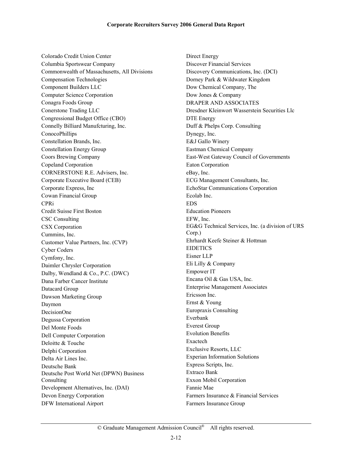Colorado Credit Union Center Columbia Sportswear Company Commonwealth of Massachusetts, All Divisions Compensation Technologies Component Builders LLC Computer Science Corporation Conagra Foods Group Conerstone Trading LLC Congressional Budget Office (CBO) Connelly Billiard Manufcturing, Inc. ConocoPhillips Constellation Brands, Inc. Constellation Energy Group Coors Brewing Company Copeland Corporation CORNERSTONE R.E. Advisers, Inc. Corporate Executive Board (CEB) Corporate Express, Inc Cowan Financial Group CPRi Credit Suisse First Boston CSC Consulting CSX Corporation Cummins, Inc. Customer Value Partners, Inc. (CVP) Cyber Coders Cymfony, Inc. Daimler Chrysler Corporation Dalby, Wendland & Co., P.C. (DWC) Dana Farber Cancer Institute Datacard Group Dawson Marketing Group Daymon DecisionOne Degussa Corporation Del Monte Foods Dell Computer Corporation Deloitte & Touche Delphi Corporation Delta Air Lines Inc. Deutsche Bank Deutsche Post World Net (DPWN) Business Consulting Development Alternatives, Inc. (DAI) Devon Energy Corporation DFW International Airport

Direct Energy Discover Financial Services Discovery Communications, Inc. (DCI) Dorney Park & Wildwater Kingdom Dow Chemical Company, The Dow Jones & Company DRAPER AND ASSOCIATES Dresdner Kleinwort Wasserstein Securities Llc DTE Energy Duff & Phelps Corp. Consulting Dynegy, Inc. E&J Gallo Winery Eastman Chemical Company East-West Gateway Council of Governments Eaton Corporation eBay, Inc. ECG Management Consultants, Inc. EchoStar Communications Corporation Ecolab Inc. EDS Education Pioneers EFW, Inc. EG&G Technical Services, Inc. (a division of URS Corp.) Ehrhardt Keefe Steiner & Hottman EIDETICS Eisner LLP Eli Lilly & Company Empower IT Encana Oil & Gas USA, Inc. Enterprise Management Associates Ericsson Inc. Ernst & Young Europraxis Consulting Everbank Everest Group Evolution Benefits Exactech Exclusive Resorts, LLC Experian Information Solutions Express Scripts, Inc. Extraco Bank Exxon Mobil Corporation Fannie Mae Farmers Insurance & Financial Services Farmers Insurance Group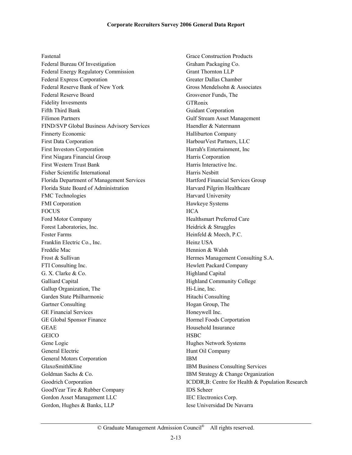Fastenal

Federal Bureau Of Investigation Federal Energy Regulatory Commission Federal Express Corporation Federal Reserve Bank of New York Federal Reserve Board Fidelity Invesments Fifth Third Bank Filimon Partners FIND/SVP Global Business Advisory Services Finnerty Economic First Data Corporation First Investors Corporation First Niagara Financial Group First Western Trust Bank Fisher Scientific International Florida Department of Management Services Florida State Board of Administration FMC Technologies FMI Corporation FOCUS Ford Motor Company Forest Laboratories, Inc. Foster Farms Franklin Electric Co., Inc. Freddie Mac Frost & Sullivan FTI Consulting Inc. G. X. Clarke & Co. Galliard Capital Gallup Organization, The Garden State Philharmonic Gartner Consulting GE Financial Services GE Global Sponsor Finance GEAE **GEICO** Gene Logic General Electric General Motors Corporation GlaxoSmithKline Goldman Sachs & Co. Goodrich Corporation GoodYear Tire & Rubber Company Gordon Asset Management LLC Gordon, Hughes & Banks, LLP

Grace Construction Products Graham Packaging Co. Grant Thornton LLP Greater Dallas Chamber Gross Mendelsohn & Associates Grosvenor Funds, The **GTRonix** Guidant Corporation Gulf Stream Asset Management Haendler & Natermann Halliburton Company HarbourVest Partners, LLC Harrah's Entertainment, Inc Harris Corporation Harris Interactive Inc. Harris Nesbitt Hartford Financial Services Group Harvard Pilgrim Healthcare Harvard University Hawkeye Systems **HCA** Healthsmart Preferred Care Heidrick & Struggles Heinfeld & Meech, P.C. Heinz USA Hennion & Walsh Hermes Management Consulting S.A. Hewlett Packard Company Highland Capital Highland Community College Hi-Line, Inc. Hitachi Consulting Hogan Group, The Honeywell Inc. Hormel Foods Corportation Household Insurance **HSBC** Hughes Network Systems Hunt Oil Company IBM IBM Business Consulting Services IBM Strategy & Change Organization ICDDR,B: Centre for Health & Population Research IDS Scheer IEC Electronics Corp. Iese Universidad De Navarra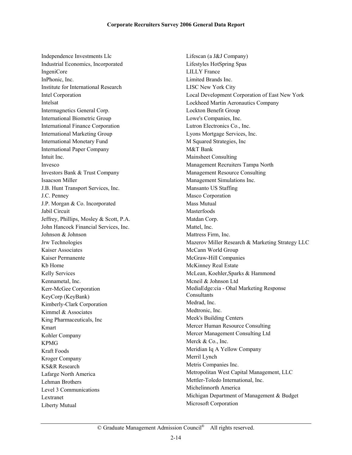Independence Investments Llc Industrial Economics, Incorporated IngeniCore InPhonic, Inc. Institute for International Research Intel Corporation Intelsat Intermagnetics General Corp. International Biometric Group International Finance Corporation International Marketing Group International Monetary Fund International Paper Company Intuit Inc. Invesco Investors Bank & Trust Company Isaacson Miller J.B. Hunt Transport Services, Inc. J.C. Penney J.P. Morgan & Co. Incorporated Jabil Circuit Jeffrey, Phillips, Mosley & Scott, P.A. John Hancock Financial Services, Inc. Johnson & Johnson Jrw Technologies Kaiser Associates Kaiser Permanente Kb Home Kelly Services Kennametal, Inc. Kerr-McGee Corporation KeyCorp (KeyBank) Kimberly-Clark Corporation Kimmel & Associates King Pharmaceuticals, Inc Kmart Kohler Company KPMG Kraft Foods Kroger Company KS&R Research Lafarge North America Lehman Brothers Level 3 Communications Lextranet Liberty Mutual

Lifescan (a J&J Company) Lifestyles HotSpring Spas LILLY France Limited Brands Inc. LISC New York City Local Development Corporation of East New York Lockheed Martin Aeronautics Company Lockton Benefit Group Lowe's Companies, Inc. Lutron Electronics Co., Inc. Lyons Mortgage Services, Inc. M Squared Strategies, Inc M&T Bank Mainsheet Consulting Management Recruiters Tampa North Management Resource Consulting Management Simulations Inc. Mansanto US Staffing Masco Corporation Mass Mutual Masterfoods Matdan Corp. Mattel, Inc. Mattress Firm, Inc. Mazerov Miller Research & Marketing Strategy LLC McCann World Group McGraw-Hill Companies McKinney Real Estate McLean, Koehler,Sparks & Hammond Mcneil & Johnson Ltd MediaEdge:cia - Ohal Marketing Response **Consultants** Medrad, Inc. Medtronic, Inc. Meek's Building Centers Mercer Human Resource Consulting Mercer Management Consulting Ltd Merck & Co., Inc. Meridian Iq A Yellow Company Merril Lynch Metris Companies Inc. Metropolitan West Capital Management, LLC Mettler-Toledo International, Inc. Michelinnorth America Michigan Department of Management & Budget Microsoft Corporation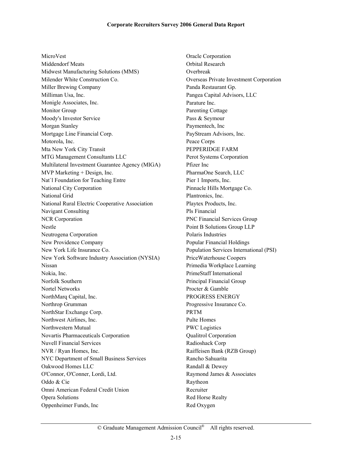MicroVest Middendorf Meats Midwest Manufacturing Solutions (MMS) Milender White Construction Co. Miller Brewing Company Milliman Usa, Inc. Monigle Associates, Inc. Monitor Group Moody's Investor Service Morgan Stanley Mortgage Line Financial Corp. Motorola, Inc. Mta New York City Transit MTG Management Consultants LLC Multilateral Investment Guarantee Agency (MIGA) MVP Marketing + Design, Inc. Nat`l Foundation for Teaching Entre National City Corporation National Grid National Rural Electric Cooperative Association Navigant Consulting NCR Corporation Nestle Neutrogena Corporation New Providence Company New York Life Insurance Co. New York Software Industry Association (NYSIA) Nissan Nokia, Inc. Norfolk Southern Nortel Networks NorthMarq Capital, Inc. Northrop Grumman NorthStar Exchange Corp. Northwest Airlines, Inc. Northwestern Mutual Novartis Pharmaceuticals Corporation Nuvell Financial Services NVR / Ryan Homes, Inc. NYC Department of Small Business Services Oakwood Homes LLC O'Connor, O'Conner, Lordi, Ltd. Oddo & Cie Omni American Federal Credit Union Opera Solutions Oppenheimer Funds, Inc

Oracle Corporation Orbital Research Overbreak Overseas Private Investment Corporation Panda Restaurant Gp. Pangea Capital Advisors, LLC Parature Inc. Parenting Cottage Pass & Seymour Paymentech, Inc PayStream Advisors, Inc. Peace Corps PEPPERIDGE FARM Perot Systems Corporation Pfizer Inc PharmaOne Search, LLC Pier 1 Imports, Inc. Pinnacle Hills Mortgage Co. Plantronics, Inc. Playtex Products, Inc. Pls Financial PNC Financial Services Group Point B Solutions Group LLP Polaris Industries Popular Financial Holdings Population Services International (PSI) PriceWaterhouse Coopers Primedia Workplace Learning PrimeStaff International Principal Financial Group Procter & Gamble PROGRESS ENERGY Progressive Insurance Co. PRTM Pulte Homes PWC Logistics Qualitrol Corporation Radioshack Corp Raiffeisen Bank (RZB Group) Rancho Sahuarita Randall & Dewey Raymond James & Associates Raytheon Recruiter Red Horse Realty Red Oxygen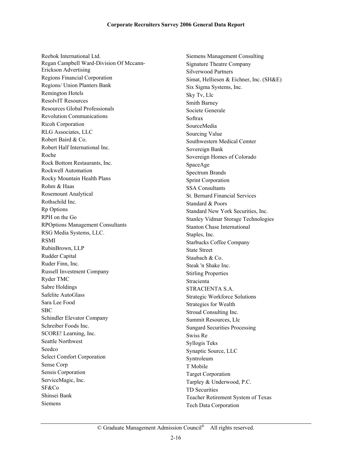Reebok International Ltd. Regan Campbell Ward-Division Of Mccann-Erickson Advertising Regions Financial Corporation Regions/ Union Planters Bank Remington Hotels ResolvIT Resources Resources Global Professionals Revolution Communications Ricoh Corporation RLG Associates, LLC Robert Baird & Co. Robert Half International Inc. Roche Rock Bottom Restaurants, Inc. Rockwell Automation Rocky Mountain Health Plans Rohm & Haas Rosemount Analytical Rothschild Inc. Rp Options RPH on the Go RPOptions Management Consultants RSG Media Systems, LLC. RSMI RubinBrown, LLP Rudder Capital Ruder Finn, Inc. Russell Investment Company Ryder TMC Sabre Holdings Safelite AutoGlass Sara Lee Food SBC Schindler Elevator Company Schreiber Foods Inc. SCORE! Learning, Inc. Seattle Northwest Seedco Select Comfort Corporation Sense Corp Sensis Corporation ServiceMagic, Inc. SF&Co Shinsei Bank Siemens

Siemens Management Consulting Signature Theatre Company Silverwood Partners Simat, Helliesen & Eichner, Inc. (SH&E) Six Sigma Systems, Inc. Sky Tv, Llc Smith Barney Societe Generale Softrax SourceMedia Sourcing Value Southwestern Medical Cemter Sovereign Bank Sovereign Homes of Colorado SpaceAge Spectrum Brands Sprint Corporation SSA Consultants St. Bernard Financial Services Standard & Poors Standard New York Securities, Inc. Stanley Vidmar Storage Technologies Stanton Chase International Staples, Inc. Starbucks Coffee Company State Street Staubach & Co. Steak 'n Shake Inc. Stirling Properties Stracienta STRACIENTA S.A. Strategic Workforce Solutions Strategies for Wealth Stroud Consulting Inc. Summit Resources, Llc Sungard Securities Processing Swiss Re Syllogis Teks Synaptic Source, LLC Syntroleum T Mobile Target Corporation Tarpley & Underwood, P.C. TD Securities Teacher Retirement System of Texas Tech Data Corporation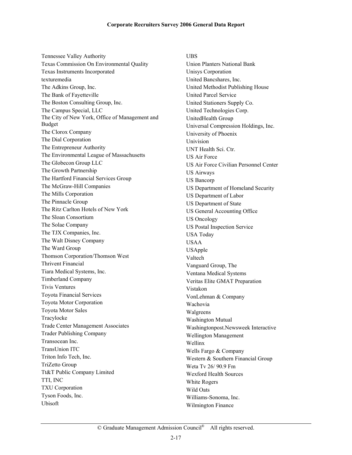Tennessee Valley Authority Texas Commission On Environmental Quality Texas Instruments Incorporated texturemedia The Adkins Group, Inc. The Bank of Fayetteville The Boston Consulting Group, Inc. The Campus Special, LLC The City of New York, Office of Management and Budget The Clorox Company The Dial Corporation The Entrepreneur Authority The Environmental League of Massachusetts The Globecon Group LLC The Growth Partnership The Hartford Financial Services Group The McGraw-Hill Companies The Mills Corporation The Pinnacle Group The Ritz Carlton Hotels of New York The Sloan Consortium The Solae Company The TJX Companies, Inc. The Walt Disney Company The Ward Group Thomson Corporation/Thomson West Thrivent Financial Tiara Medical Systems, Inc. Timberland Company Tivis Ventures Toyota Financial Services Toyota Motor Corporation Toyota Motor Sales Tracylocke Trade Center Management Associates Trader Publishing Company Transocean Inc. TransUnion ITC Triton Info Tech, Inc. TriZetto Group Tt&T Public Company Limited TTI, INC TXU Corporation Tyson Foods, Inc. Ubisoft

UBS Union Planters National Bank Unisys Corporation United Bancshares, Inc. United Methodist Publishing House United Parcel Service United Stationers Supply Co. United Technologies Corp. UnitedHealth Group Universal Compression Holdings, Inc. University of Phoenix Univision UNT Health Sci. Ctr. US Air Force US Air Force Civilian Personnel Center US Airways US Bancorp US Department of Homeland Security US Department of Labor US Department of State US General Accounting Office US Oncology US Postal Inspection Service USA Today USAA USApple Valtech Vanguard Group, The Ventana Medical Systems Veritas Elite GMAT Preparation Vistakon VonLehman & Company Wachovia Walgreens Washington Mutual Washingtonpost.Newsweek Interactive Wellington Management Wellinx Wells Fargo & Company Western & Southern Financial Group Weta Tv 26/ 90.9 Fm Wexford Health Sources White Rogers Wild Oats Williams-Sonoma, Inc. Wilmington Finance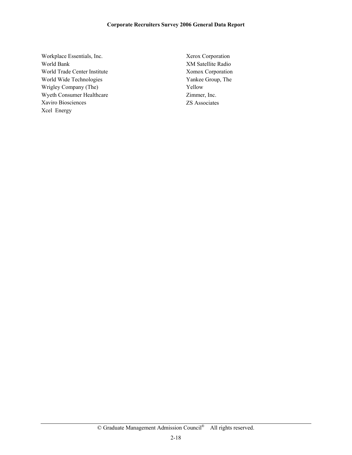#### **Corporate Recruiters Survey 2006 General Data Report**

Workplace Essentials, Inc. World Bank World Trade Center Institute World Wide Technologies Wrigley Company (The) Wyeth Consumer Healthcare Xaviro Biosciences Xcel Energy

Xerox Corporation XM Satellite Radio Xomox Corporation Yankee Group, The Yellow Zimmer, Inc. ZS Associates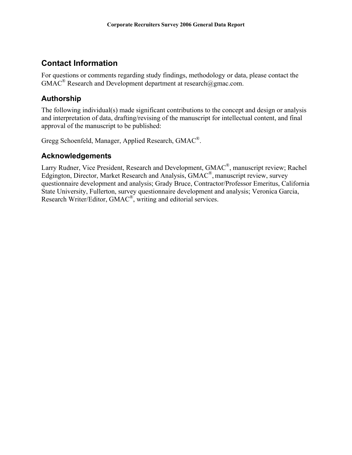# **Contact Information**

For questions or comments regarding study findings, methodology or data, please contact the  $GMAC^{\circledR}$  Research and Development department at research@gmac.com.

### **Authorship**

The following individual(s) made significant contributions to the concept and design or analysis and interpretation of data, drafting/revising of the manuscript for intellectual content, and final approval of the manuscript to be published:

Gregg Schoenfeld, Manager, Applied Research, GMAC®.

### **Acknowledgements**

Larry Rudner, Vice President, Research and Development, GMAC®, manuscript review; Rachel Edgington, Director, Market Research and Analysis, GMAC®, manuscript review, survey questionnaire development and analysis; Grady Bruce, Contractor/Professor Emeritus, California State University, Fullerton, survey questionnaire development and analysis; Veronica Garcia, Research Writer/Editor, GMAC®, writing and editorial services.